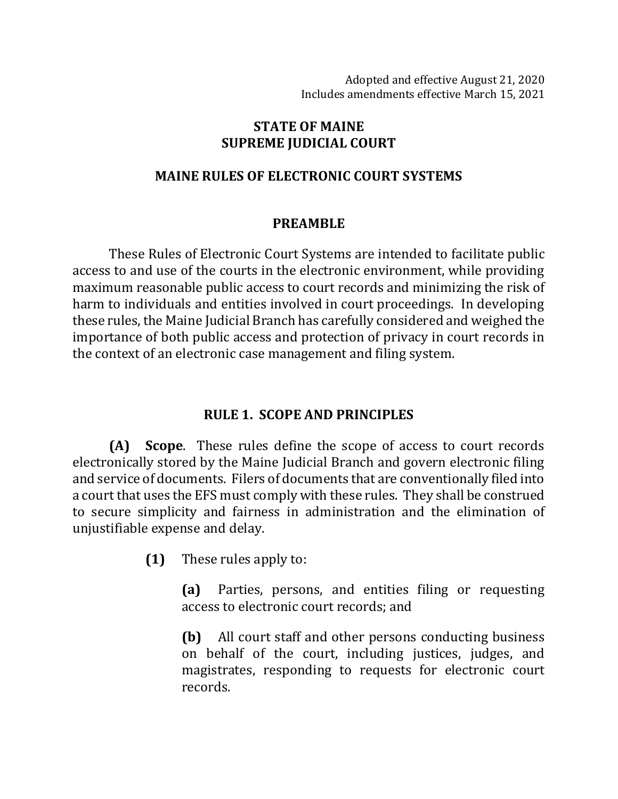### **STATE OF MAINE SUPREME JUDICIAL COURT**

### **MAINE RULES OF ELECTRONIC COURT SYSTEMS**

### **PREAMBLE**

These Rules of Electronic Court Systems are intended to facilitate public access to and use of the courts in the electronic environment, while providing maximum reasonable public access to court records and minimizing the risk of harm to individuals and entities involved in court proceedings. In developing these rules, the Maine Judicial Branch has carefully considered and weighed the importance of both public access and protection of privacy in court records in the context of an electronic case management and filing system.

# **RULE 1. SCOPE AND PRINCIPLES**

**(A) Scope**. These rules define the scope of access to court records electronically stored by the Maine Judicial Branch and govern electronic filing and service of documents. Filers of documents that are conventionally filed into a court that uses the EFS must comply with these rules. They shall be construed to secure simplicity and fairness in administration and the elimination of unjustifiable expense and delay.

**(1)** These rules apply to:

**(a)** Parties, persons, and entities filing or requesting access to electronic court records; and

**(b)** All court staff and other persons conducting business on behalf of the court, including justices, judges, and magistrates, responding to requests for electronic court records.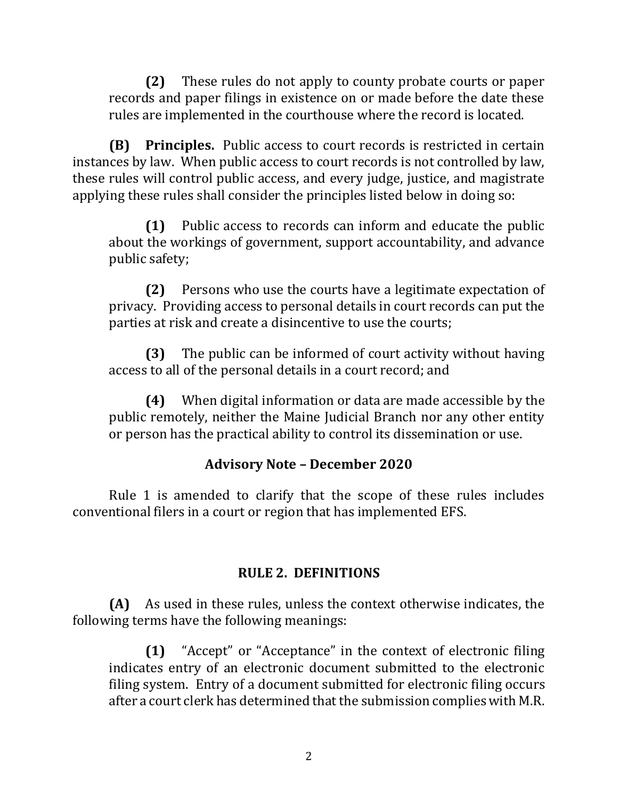**(2)** These rules do not apply to county probate courts or paper records and paper filings in existence on or made before the date these rules are implemented in the courthouse where the record is located.

**(B) Principles.** Public access to court records is restricted in certain instances by law. When public access to court records is not controlled by law, these rules will control public access, and every judge, justice, and magistrate applying these rules shall consider the principles listed below in doing so:

**(1)** Public access to records can inform and educate the public about the workings of government, support accountability, and advance public safety;

**(2)** Persons who use the courts have a legitimate expectation of privacy. Providing access to personal details in court records can put the parties at risk and create a disincentive to use the courts;

**(3)** The public can be informed of court activity without having access to all of the personal details in a court record; and

**(4)** When digital information or data are made accessible by the public remotely, neither the Maine Judicial Branch nor any other entity or person has the practical ability to control its dissemination or use.

### **Advisory Note – December 2020**

Rule 1 is amended to clarify that the scope of these rules includes conventional filers in a court or region that has implemented EFS.

#### **RULE 2. DEFINITIONS**

**(A)** As used in these rules, unless the context otherwise indicates, the following terms have the following meanings:

**(1)** "Accept" or "Acceptance" in the context of electronic filing indicates entry of an electronic document submitted to the electronic filing system. Entry of a document submitted for electronic filing occurs after a court clerk has determined that the submission complies with M.R.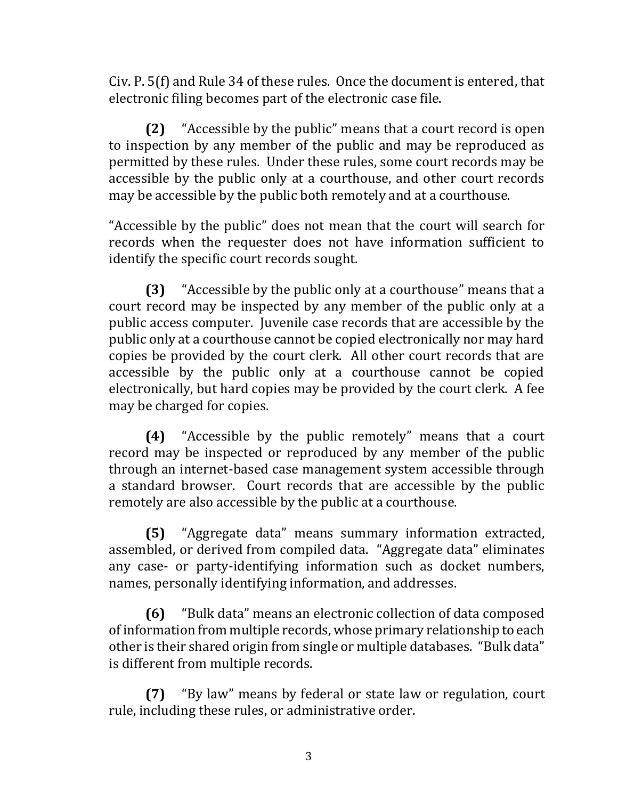Civ. P. 5(f) and Rule 34 of these rules. Once the document is entered, that electronic filing becomes part of the electronic case file.

**(2)** "Accessible by the public" means that a court record is open to inspection by any member of the public and may be reproduced as permitted by these rules. Under these rules, some court records may be accessible by the public only at a courthouse, and other court records may be accessible by the public both remotely and at a courthouse.

"Accessible by the public" does not mean that the court will search for records when the requester does not have information sufficient to identify the specific court records sought.

**(3)** "Accessible by the public only at a courthouse" means that a court record may be inspected by any member of the public only at a public access computer. Juvenile case records that are accessible by the public only at a courthouse cannot be copied electronically nor may hard copies be provided by the court clerk. All other court records that are accessible by the public only at a courthouse cannot be copied electronically, but hard copies may be provided by the court clerk. A fee may be charged for copies.

**(4)** "Accessible by the public remotely" means that a court record may be inspected or reproduced by any member of the public through an internet-based case management system accessible through a standard browser. Court records that are accessible by the public remotely are also accessible by the public at a courthouse.

**(5)** "Aggregate data" means summary information extracted, assembled, or derived from compiled data. "Aggregate data" eliminates any case- or party-identifying information such as docket numbers, names, personally identifying information, and addresses.

**(6)** "Bulk data" means an electronic collection of data composed of information from multiple records, whose primary relationship to each other is their shared origin from single or multiple databases. "Bulk data" is different from multiple records.

**(7)** "By law" means by federal or state law or regulation, court rule, including these rules, or administrative order.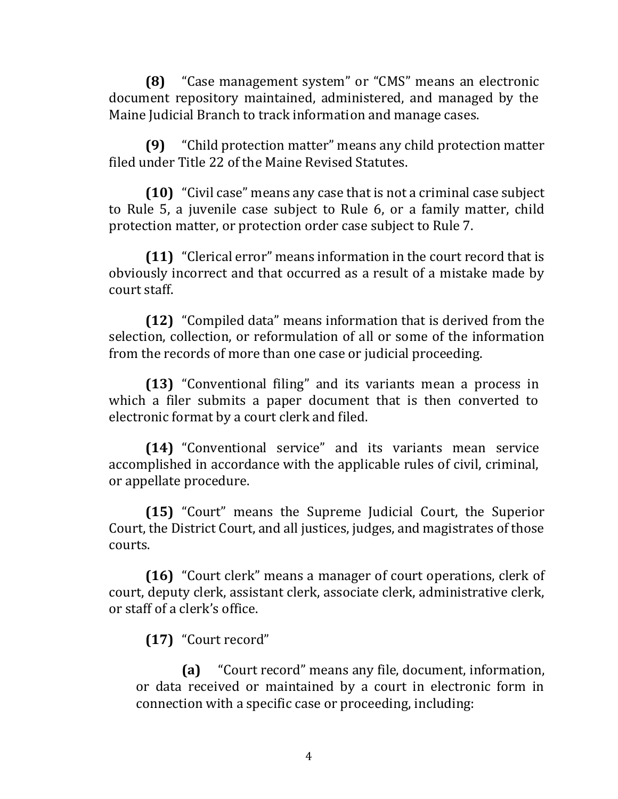**(8)** "Case management system" or "CMS" means an electronic document repository maintained, administered, and managed by the Maine Judicial Branch to track information and manage cases.

**(9)** "Child protection matter" means any child protection matter filed under Title 22 of the Maine Revised Statutes.

**(10)** "Civil case" means any case that is not a criminal case subject to Rule 5, a juvenile case subject to Rule 6, or a family matter, child protection matter, or protection order case subject to Rule 7.

**(11)** "Clerical error" means information in the court record that is obviously incorrect and that occurred as a result of a mistake made by court staff.

**(12)** "Compiled data" means information that is derived from the selection, collection, or reformulation of all or some of the information from the records of more than one case or judicial proceeding.

**(13)** "Conventional filing" and its variants mean a process in which a filer submits a paper document that is then converted to electronic format by a court clerk and filed.

**(14)** "Conventional service" and its variants mean service accomplished in accordance with the applicable rules of civil, criminal, or appellate procedure.

**(15)** "Court" means the Supreme Judicial Court, the Superior Court, the District Court, and all justices, judges, and magistrates of those courts.

**(16)** "Court clerk" means a manager of court operations, clerk of court, deputy clerk, assistant clerk, associate clerk, administrative clerk, or staff of a clerk's office.

**(17)** "Court record"

**(a)** "Court record" means any file, document, information, or data received or maintained by a court in electronic form in connection with a specific case or proceeding, including: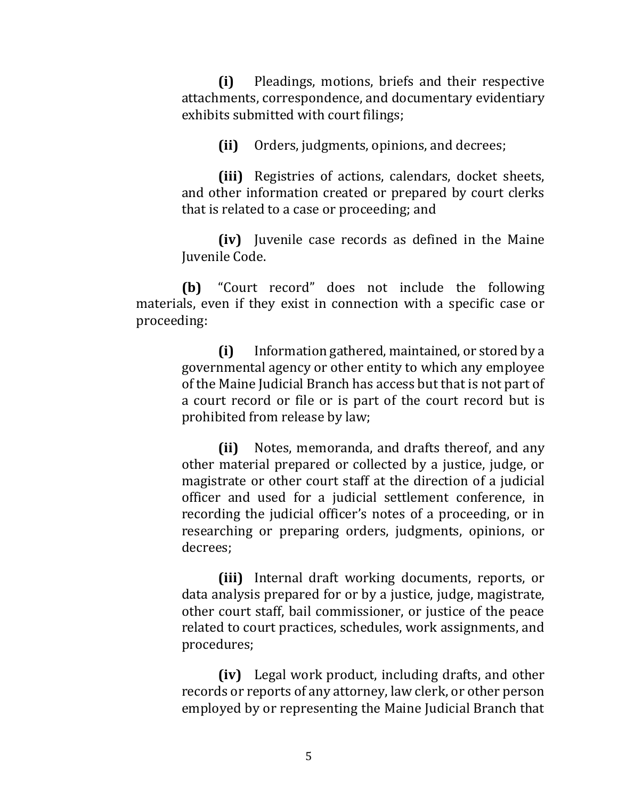**(i)** Pleadings, motions, briefs and their respective attachments, correspondence, and documentary evidentiary exhibits submitted with court filings;

**(ii)** Orders, judgments, opinions, and decrees;

**(iii)** Registries of actions, calendars, docket sheets, and other information created or prepared by court clerks that is related to a case or proceeding; and

**(iv)** Juvenile case records as defined in the Maine Juvenile Code.

**(b)** "Court record" does not include the following materials, even if they exist in connection with a specific case or proceeding:

> **(i)** Information gathered, maintained, or stored by a governmental agency or other entity to which any employee of the Maine Judicial Branch has access but that is not part of a court record or file or is part of the court record but is prohibited from release by law;

> **(ii)** Notes, memoranda, and drafts thereof, and any other material prepared or collected by a justice, judge, or magistrate or other court staff at the direction of a judicial officer and used for a judicial settlement conference, in recording the judicial officer's notes of a proceeding, or in researching or preparing orders, judgments, opinions, or decrees;

> **(iii)** Internal draft working documents, reports, or data analysis prepared for or by a justice, judge, magistrate, other court staff, bail commissioner, or justice of the peace related to court practices, schedules, work assignments, and procedures;

> **(iv)** Legal work product, including drafts, and other records or reports of any attorney, law clerk, or other person employed by or representing the Maine Judicial Branch that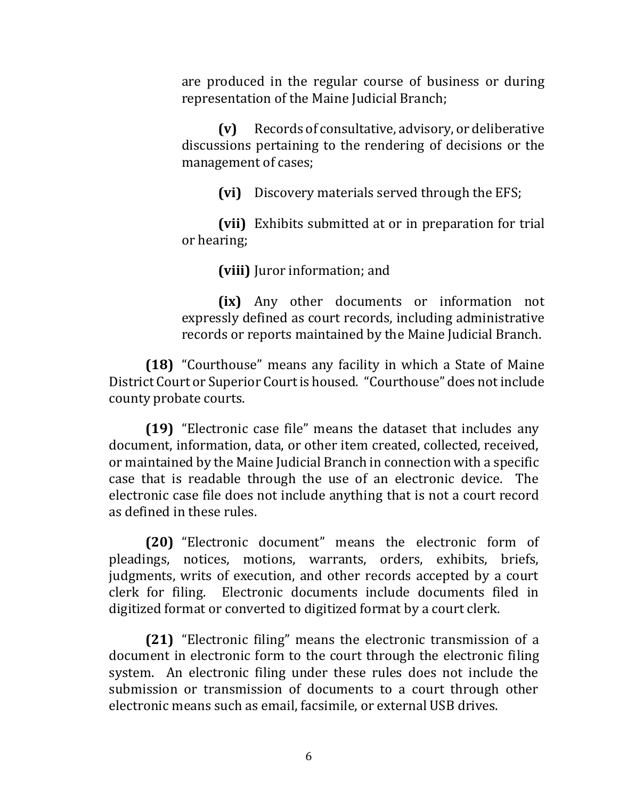are produced in the regular course of business or during representation of the Maine Judicial Branch;

**(v)** Records of consultative, advisory, or deliberative discussions pertaining to the rendering of decisions or the management of cases;

**(vi)** Discovery materials served through the EFS;

**(vii)** Exhibits submitted at or in preparation for trial or hearing;

**(viii)** Juror information; and

**(ix)** Any other documents or information not expressly defined as court records, including administrative records or reports maintained by the Maine Judicial Branch.

**(18)** "Courthouse" means any facility in which a State of Maine District Court or Superior Court is housed. "Courthouse" does not include county probate courts.

**(19)** "Electronic case file" means the dataset that includes any document, information, data, or other item created, collected, received, or maintained by the Maine Judicial Branch in connection with a specific case that is readable through the use of an electronic device. The electronic case file does not include anything that is not a court record as defined in these rules.

**(20)** "Electronic document" means the electronic form of pleadings, notices, motions, warrants, orders, exhibits, briefs, judgments, writs of execution, and other records accepted by a court clerk for filing. Electronic documents include documents filed in digitized format or converted to digitized format by a court clerk.

**(21)** "Electronic filing" means the electronic transmission of a document in electronic form to the court through the electronic filing system. An electronic filing under these rules does not include the submission or transmission of documents to a court through other electronic means such as email, facsimile, or external USB drives.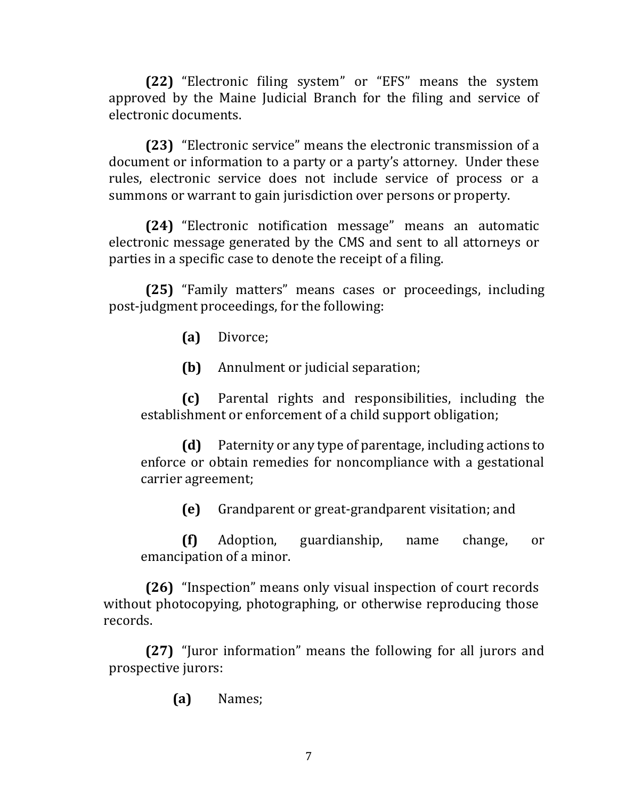**(22)** "Electronic filing system" or "EFS" means the system approved by the Maine Judicial Branch for the filing and service of electronic documents.

**(23)** "Electronic service" means the electronic transmission of a document or information to a party or a party's attorney. Under these rules, electronic service does not include service of process or a summons or warrant to gain jurisdiction over persons or property.

**(24)** "Electronic notification message" means an automatic electronic message generated by the CMS and sent to all attorneys or parties in a specific case to denote the receipt of a filing.

**(25)** "Family matters" means cases or proceedings, including post-judgment proceedings, for the following:

**(a)** Divorce;

**(b)** Annulment or judicial separation;

**(c)** Parental rights and responsibilities, including the establishment or enforcement of a child support obligation;

**(d)** Paternity or any type of parentage, including actions to enforce or obtain remedies for noncompliance with a gestational carrier agreement;

**(e)** Grandparent or great-grandparent visitation; and

**(f)** Adoption, guardianship, name change, or emancipation of a minor.

**(26)** "Inspection" means only visual inspection of court records without photocopying, photographing, or otherwise reproducing those records.

**(27)** "Juror information" means the following for all jurors and prospective jurors:

**(a)** Names;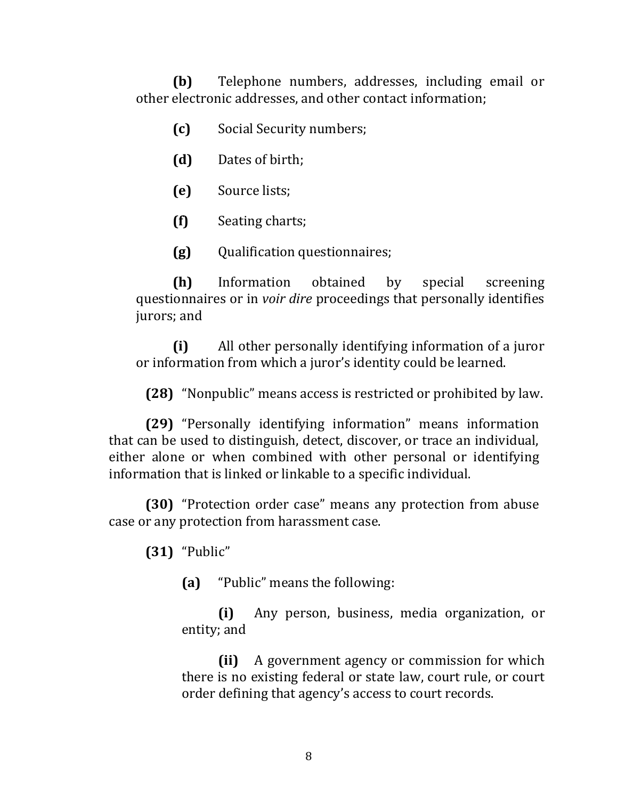**(b)** Telephone numbers, addresses, including email or other electronic addresses, and other contact information;

- **(c)** Social Security numbers;
- **(d)** Dates of birth;
- **(e)** Source lists;
- **(f)** Seating charts;
- **(g)** Qualification questionnaires;

**(h)** Information obtained by special screening questionnaires or in *voir dire* proceedings that personally identifies jurors; and

**(i)** All other personally identifying information of a juror or information from which a juror's identity could be learned.

**(28)** "Nonpublic" means access is restricted or prohibited by law.

**(29)** "Personally identifying information" means information that can be used to distinguish, detect, discover, or trace an individual, either alone or when combined with other personal or identifying information that is linked or linkable to a specific individual.

**(30)** "Protection order case" means any protection from abuse case or any protection from harassment case.

**(31)** "Public"

**(a)** "Public" means the following:

**(i)** Any person, business, media organization, or entity; and

**(ii)** A government agency or commission for which there is no existing federal or state law, court rule, or court order defining that agency's access to court records.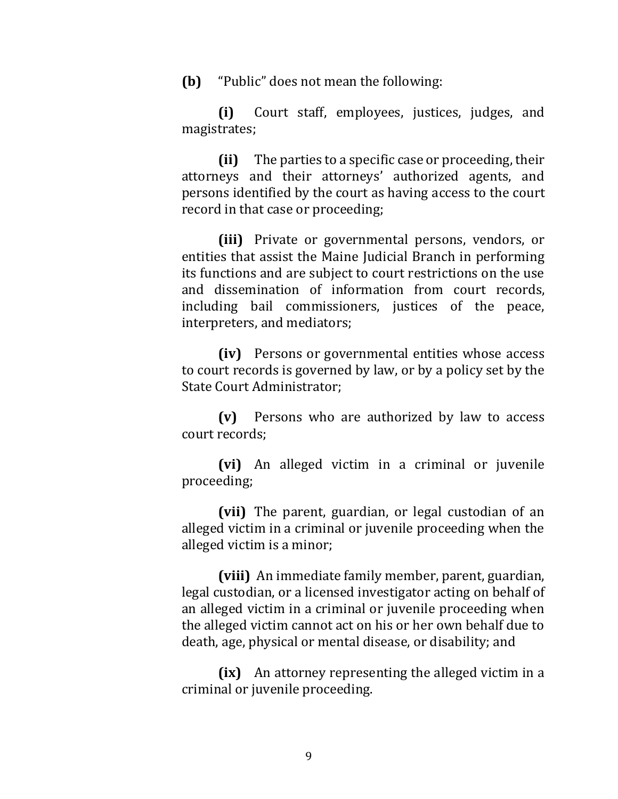**(b)** "Public" does not mean the following:

**(i)** Court staff, employees, justices, judges, and magistrates;

**(ii)** The parties to a specific case or proceeding, their attorneys and their attorneys' authorized agents, and persons identified by the court as having access to the court record in that case or proceeding;

**(iii)** Private or governmental persons, vendors, or entities that assist the Maine Judicial Branch in performing its functions and are subject to court restrictions on the use and dissemination of information from court records, including bail commissioners, justices of the peace, interpreters, and mediators;

**(iv)** Persons or governmental entities whose access to court records is governed by law, or by a policy set by the State Court Administrator;

**(v)** Persons who are authorized by law to access court records;

**(vi)** An alleged victim in a criminal or juvenile proceeding;

**(vii)** The parent, guardian, or legal custodian of an alleged victim in a criminal or juvenile proceeding when the alleged victim is a minor;

**(viii)** An immediate family member, parent, guardian, legal custodian, or a licensed investigator acting on behalf of an alleged victim in a criminal or juvenile proceeding when the alleged victim cannot act on his or her own behalf due to death, age, physical or mental disease, or disability; and

**(ix)** An attorney representing the alleged victim in a criminal or juvenile proceeding.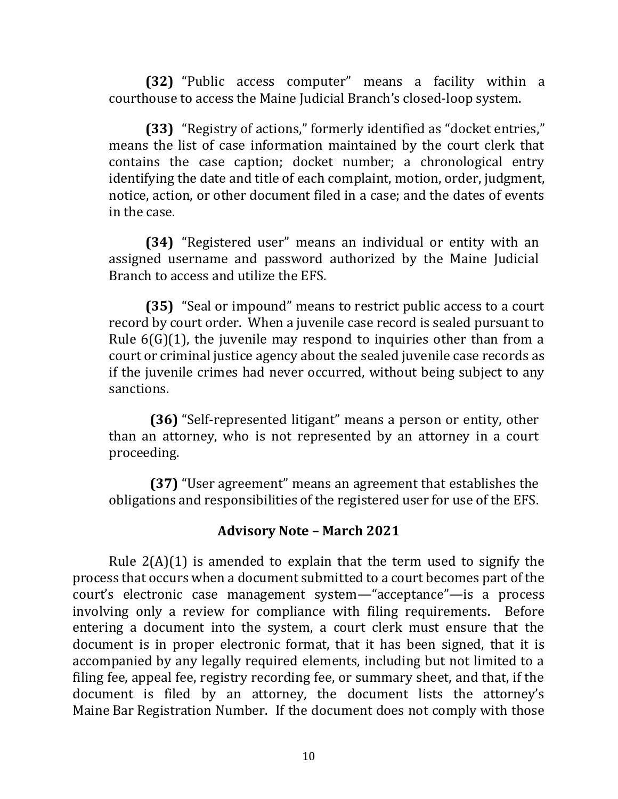**(32)** "Public access computer" means a facility within a courthouse to access the Maine Judicial Branch's closed-loop system.

**(33)** "Registry of actions," formerly identified as "docket entries," means the list of case information maintained by the court clerk that contains the case caption; docket number; a chronological entry identifying the date and title of each complaint, motion, order, judgment, notice, action, or other document filed in a case; and the dates of events in the case.

**(34)** "Registered user" means an individual or entity with an assigned username and password authorized by the Maine Judicial Branch to access and utilize the EFS.

**(35)** "Seal or impound" means to restrict public access to a court record by court order. When a juvenile case record is sealed pursuant to Rule 6(G)(1), the juvenile may respond to inquiries other than from a court or criminal justice agency about the sealed juvenile case records as if the juvenile crimes had never occurred, without being subject to any sanctions.

**(36)** "Self-represented litigant" means a person or entity, other than an attorney, who is not represented by an attorney in a court proceeding.

**(37)** "User agreement" means an agreement that establishes the obligations and responsibilities of the registered user for use of the EFS.

#### **Advisory Note – March 2021**

Rule  $2(A)(1)$  is amended to explain that the term used to signify the process that occurs when a document submitted to a court becomes part of the court's electronic case management system—"acceptance"—is a process involving only a review for compliance with filing requirements. Before entering a document into the system, a court clerk must ensure that the document is in proper electronic format, that it has been signed, that it is accompanied by any legally required elements, including but not limited to a filing fee, appeal fee, registry recording fee, or summary sheet, and that, if the document is filed by an attorney, the document lists the attorney's Maine Bar Registration Number. If the document does not comply with those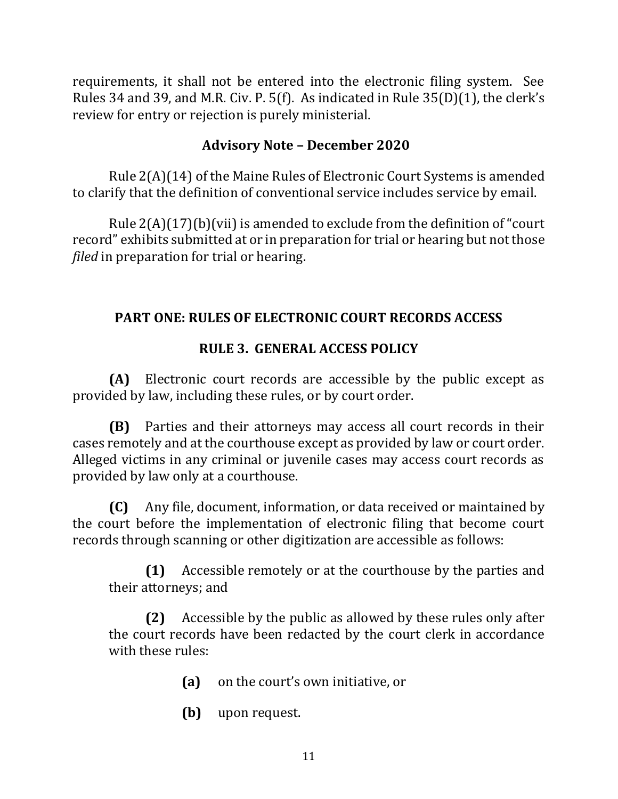requirements, it shall not be entered into the electronic filing system. See Rules 34 and 39, and M.R. Civ. P. 5(f). As indicated in Rule 35(D)(1), the clerk's review for entry or rejection is purely ministerial.

### **Advisory Note – December 2020**

Rule 2(A)(14) of the Maine Rules of Electronic Court Systems is amended to clarify that the definition of conventional service includes service by email.

Rule 2(A)(17)(b)(vii) is amended to exclude from the definition of "court record" exhibits submitted at or in preparation for trial or hearing but not those *filed* in preparation for trial or hearing.

# **PART ONE: RULES OF ELECTRONIC COURT RECORDS ACCESS**

# **RULE 3. GENERAL ACCESS POLICY**

**(A)** Electronic court records are accessible by the public except as provided by law, including these rules, or by court order.

**(B)** Parties and their attorneys may access all court records in their cases remotely and at the courthouse except as provided by law or court order. Alleged victims in any criminal or juvenile cases may access court records as provided by law only at a courthouse.

**(C)** Any file, document, information, or data received or maintained by the court before the implementation of electronic filing that become court records through scanning or other digitization are accessible as follows:

**(1)** Accessible remotely or at the courthouse by the parties and their attorneys; and

**(2)** Accessible by the public as allowed by these rules only after the court records have been redacted by the court clerk in accordance with these rules:

- **(a)** on the court's own initiative, or
- **(b)** upon request.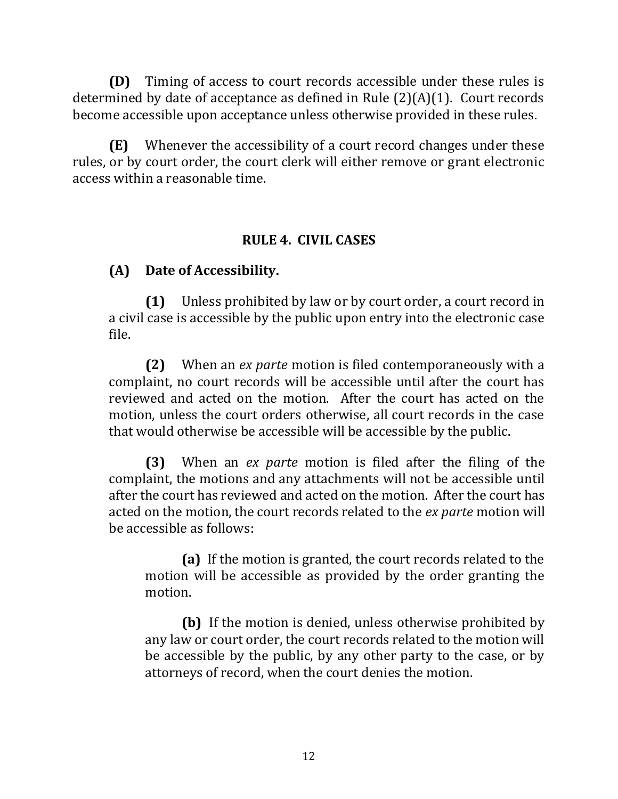**(D)** Timing of access to court records accessible under these rules is determined by date of acceptance as defined in Rule (2)(A)(1). Court records become accessible upon acceptance unless otherwise provided in these rules.

**(E)** Whenever the accessibility of a court record changes under these rules, or by court order, the court clerk will either remove or grant electronic access within a reasonable time.

### **RULE 4. CIVIL CASES**

# **(A) Date of Accessibility.**

**(1)** Unless prohibited by law or by court order, a court record in a civil case is accessible by the public upon entry into the electronic case file.

**(2)** When an *ex parte* motion is filed contemporaneously with a complaint, no court records will be accessible until after the court has reviewed and acted on the motion. After the court has acted on the motion, unless the court orders otherwise, all court records in the case that would otherwise be accessible will be accessible by the public.

**(3)** When an *ex parte* motion is filed after the filing of the complaint, the motions and any attachments will not be accessible until after the court has reviewed and acted on the motion. After the court has acted on the motion, the court records related to the *ex parte* motion will be accessible as follows:

**(a)** If the motion is granted, the court records related to the motion will be accessible as provided by the order granting the motion.

**(b)** If the motion is denied, unless otherwise prohibited by any law or court order, the court records related to the motion will be accessible by the public, by any other party to the case, or by attorneys of record, when the court denies the motion.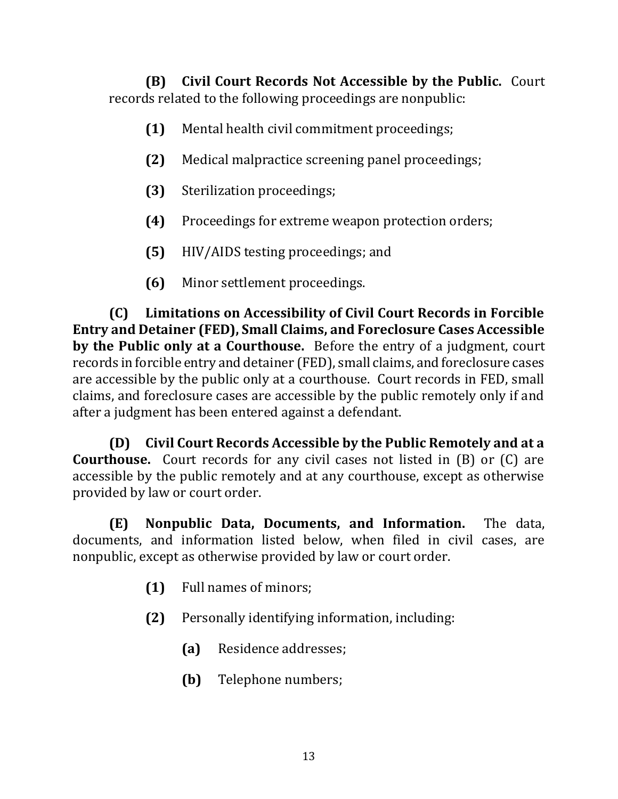**(B) Civil Court Records Not Accessible by the Public.** Court records related to the following proceedings are nonpublic:

- **(1)** Mental health civil commitment proceedings;
- **(2)** Medical malpractice screening panel proceedings;
- **(3)** Sterilization proceedings;
- **(4)** Proceedings for extreme weapon protection orders;
- **(5)** HIV/AIDS testing proceedings; and
- **(6)** Minor settlement proceedings.

**(C) Limitations on Accessibility of Civil Court Records in Forcible Entry and Detainer (FED), Small Claims, and Foreclosure Cases Accessible by the Public only at a Courthouse.** Before the entry of a judgment, court records in forcible entry and detainer (FED), small claims, and foreclosure cases are accessible by the public only at a courthouse. Court records in FED, small claims, and foreclosure cases are accessible by the public remotely only if and after a judgment has been entered against a defendant.

**(D) Civil Court Records Accessible by the Public Remotely and at a Courthouse.** Court records for any civil cases not listed in (B) or (C) are accessible by the public remotely and at any courthouse, except as otherwise provided by law or court order.

**(E) Nonpublic Data, Documents, and Information.** The data, documents, and information listed below, when filed in civil cases, are nonpublic, except as otherwise provided by law or court order.

- **(1)** Full names of minors;
- **(2)** Personally identifying information, including:
	- **(a)** Residence addresses;
	- **(b)** Telephone numbers;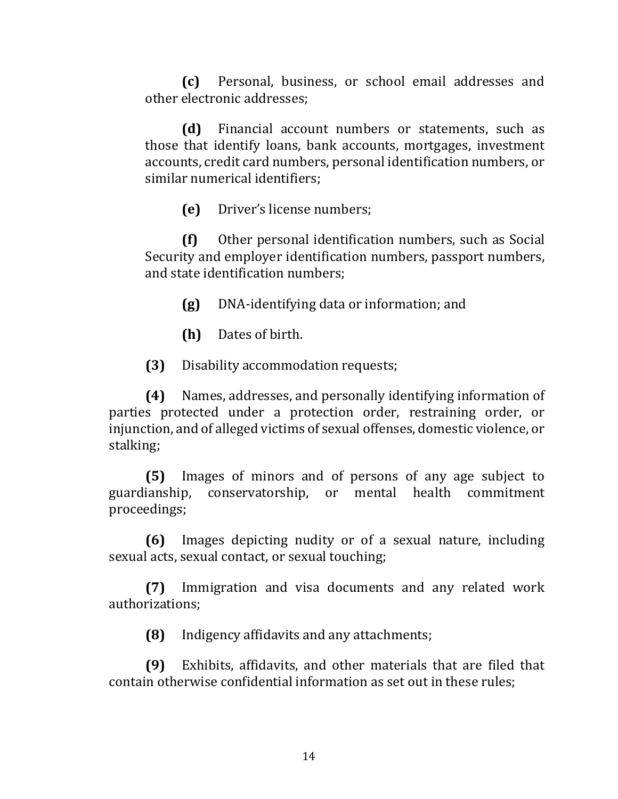**(c)** Personal, business, or school email addresses and other electronic addresses;

**(d)** Financial account numbers or statements, such as those that identify loans, bank accounts, mortgages, investment accounts, credit card numbers, personal identification numbers, or similar numerical identifiers;

**(e)** Driver's license numbers;

**(f)** Other personal identification numbers, such as Social Security and employer identification numbers, passport numbers, and state identification numbers;

**(g)** DNA-identifying data or information; and

**(h)** Dates of birth.

**(3)** Disability accommodation requests;

**(4)** Names, addresses, and personally identifying information of parties protected under a protection order, restraining order, or injunction, and of alleged victims of sexual offenses, domestic violence, or stalking;

**(5)** Images of minors and of persons of any age subject to guardianship, conservatorship, or mental health commitment proceedings;

**(6)** Images depicting nudity or of a sexual nature, including sexual acts, sexual contact, or sexual touching;

**(7)** Immigration and visa documents and any related work authorizations;

**(8)** Indigency affidavits and any attachments;

**(9)** Exhibits, affidavits, and other materials that are filed that contain otherwise confidential information as set out in these rules;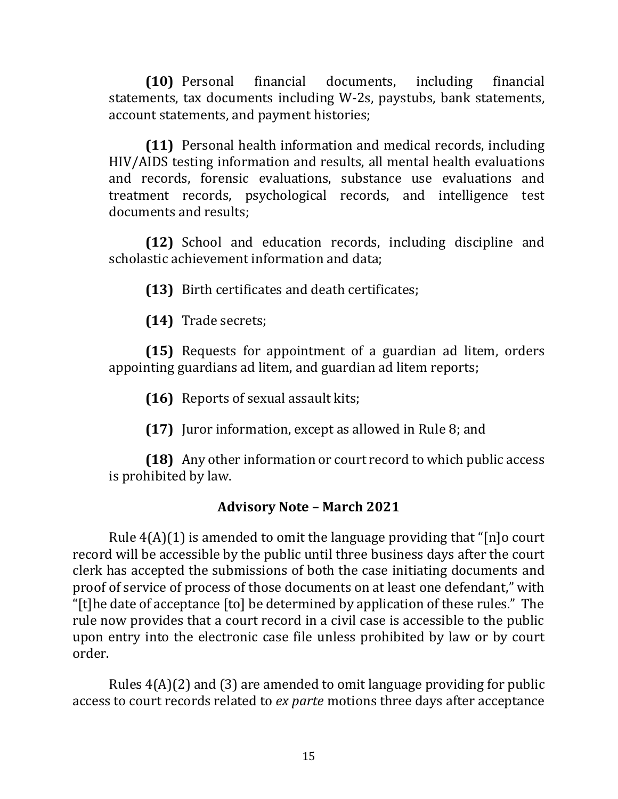**(10)** Personal financial documents, including financial statements, tax documents including W-2s, paystubs, bank statements, account statements, and payment histories;

**(11)** Personal health information and medical records, including HIV/AIDS testing information and results, all mental health evaluations and records, forensic evaluations, substance use evaluations and treatment records, psychological records, and intelligence test documents and results;

**(12)** School and education records, including discipline and scholastic achievement information and data;

**(13)** Birth certificates and death certificates;

**(14)** Trade secrets;

**(15)** Requests for appointment of a guardian ad litem, orders appointing guardians ad litem, and guardian ad litem reports;

**(16)** Reports of sexual assault kits;

**(17)** Juror information, except as allowed in Rule 8; and

**(18)** Any other information or court record to which public access is prohibited by law.

### **Advisory Note – March 2021**

Rule 4(A)(1) is amended to omit the language providing that "[n]o court record will be accessible by the public until three business days after the court clerk has accepted the submissions of both the case initiating documents and proof of service of process of those documents on at least one defendant," with "[t]he date of acceptance [to] be determined by application of these rules." The rule now provides that a court record in a civil case is accessible to the public upon entry into the electronic case file unless prohibited by law or by court order.

Rules 4(A)(2) and (3) are amended to omit language providing for public access to court records related to *ex parte* motions three days after acceptance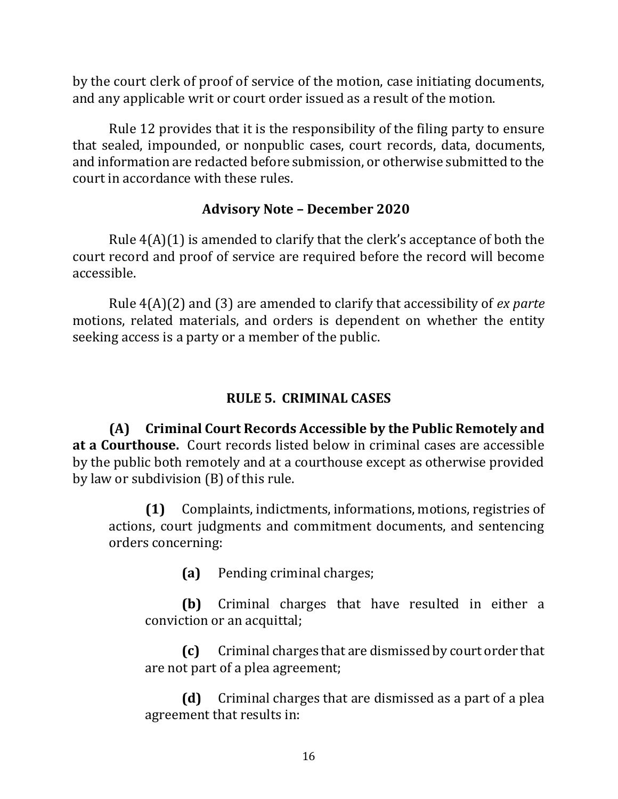by the court clerk of proof of service of the motion, case initiating documents, and any applicable writ or court order issued as a result of the motion.

Rule 12 provides that it is the responsibility of the filing party to ensure that sealed, impounded, or nonpublic cases, court records, data, documents, and information are redacted before submission, or otherwise submitted to the court in accordance with these rules.

### **Advisory Note – December 2020**

Rule 4(A)(1) is amended to clarify that the clerk's acceptance of both the court record and proof of service are required before the record will become accessible.

Rule 4(A)(2) and (3) are amended to clarify that accessibility of *ex parte* motions, related materials, and orders is dependent on whether the entity seeking access is a party or a member of the public.

# **RULE 5. CRIMINAL CASES**

**(A) Criminal Court Records Accessible by the Public Remotely and at a Courthouse.** Court records listed below in criminal cases are accessible by the public both remotely and at a courthouse except as otherwise provided by law or subdivision (B) of this rule.

**(1)** Complaints, indictments, informations, motions, registries of actions, court judgments and commitment documents, and sentencing orders concerning:

**(a)** Pending criminal charges;

**(b)** Criminal charges that have resulted in either a conviction or an acquittal;

**(c)** Criminal charges that are dismissed by court order that are not part of a plea agreement;

**(d)** Criminal charges that are dismissed as a part of a plea agreement that results in: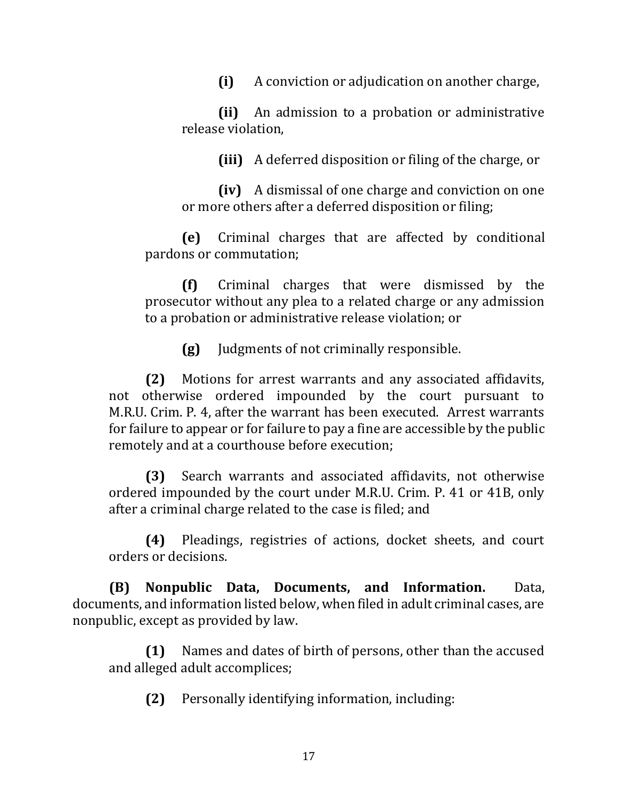**(i)** A conviction or adjudication on another charge,

**(ii)** An admission to a probation or administrative release violation,

**(iii)** A deferred disposition or filing of the charge, or

**(iv)** A dismissal of one charge and conviction on one or more others after a deferred disposition or filing;

**(e)** Criminal charges that are affected by conditional pardons or commutation;

**(f)** Criminal charges that were dismissed by the prosecutor without any plea to a related charge or any admission to a probation or administrative release violation; or

**(g)** Judgments of not criminally responsible.

**(2)** Motions for arrest warrants and any associated affidavits, not otherwise ordered impounded by the court pursuant to M.R.U. Crim. P. 4, after the warrant has been executed. Arrest warrants for failure to appear or for failure to pay a fine are accessible by the public remotely and at a courthouse before execution;

**(3)** Search warrants and associated affidavits, not otherwise ordered impounded by the court under M.R.U. Crim. P. 41 or 41B, only after a criminal charge related to the case is filed; and

**(4)** Pleadings, registries of actions, docket sheets, and court orders or decisions.

**(B) Nonpublic Data, Documents, and Information.** Data, documents, and information listed below, when filed in adult criminal cases, are nonpublic, except as provided by law.

**(1)** Names and dates of birth of persons, other than the accused and alleged adult accomplices;

**(2)** Personally identifying information, including: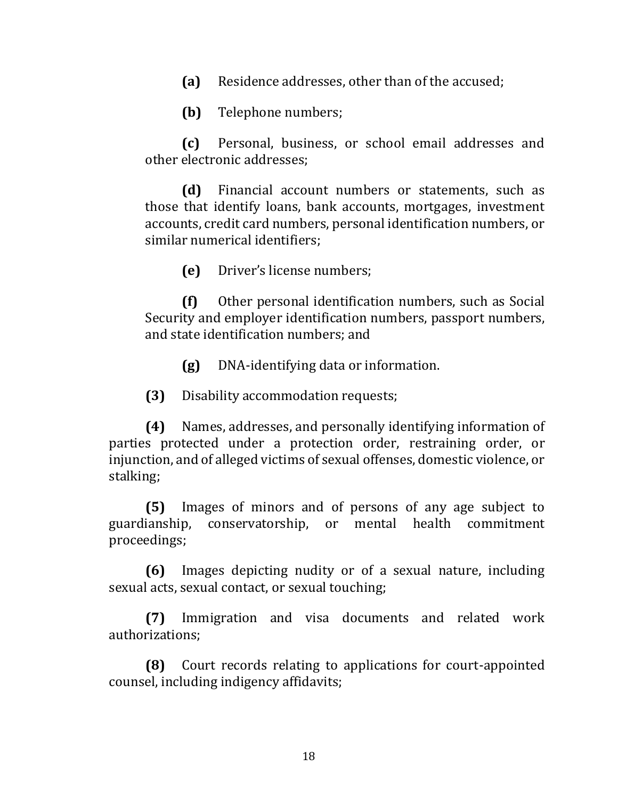**(a)** Residence addresses, other than of the accused;

**(b)** Telephone numbers;

**(c)** Personal, business, or school email addresses and other electronic addresses;

**(d)** Financial account numbers or statements, such as those that identify loans, bank accounts, mortgages, investment accounts, credit card numbers, personal identification numbers, or similar numerical identifiers;

**(e)** Driver's license numbers;

**(f)** Other personal identification numbers, such as Social Security and employer identification numbers, passport numbers, and state identification numbers; and

**(g)** DNA-identifying data or information.

**(3)** Disability accommodation requests;

**(4)** Names, addresses, and personally identifying information of parties protected under a protection order, restraining order, or injunction, and of alleged victims of sexual offenses, domestic violence, or stalking;

**(5)** Images of minors and of persons of any age subject to guardianship, conservatorship, or mental health commitment proceedings;

**(6)** Images depicting nudity or of a sexual nature, including sexual acts, sexual contact, or sexual touching;

**(7)** Immigration and visa documents and related work authorizations;

**(8)** Court records relating to applications for court-appointed counsel, including indigency affidavits;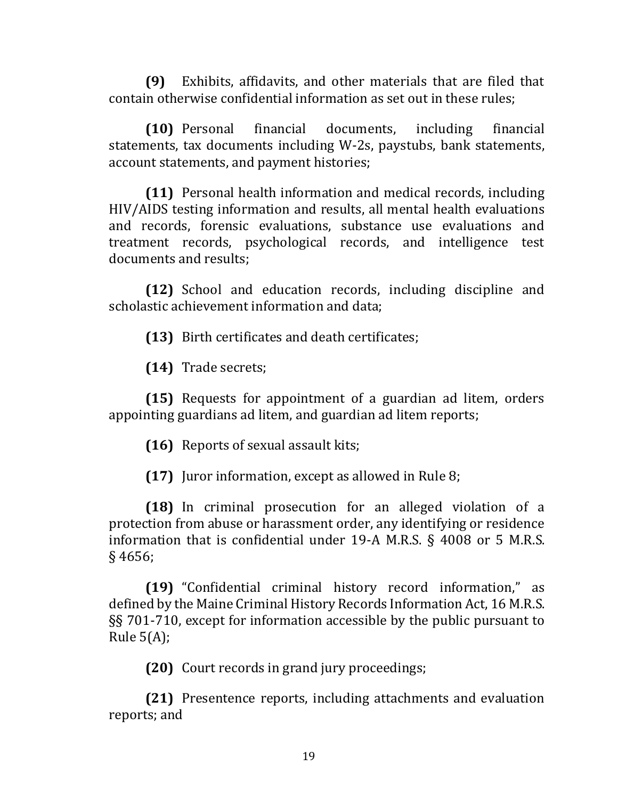**(9)** Exhibits, affidavits, and other materials that are filed that contain otherwise confidential information as set out in these rules;

**(10)** Personal financial documents, including financial statements, tax documents including W-2s, paystubs, bank statements, account statements, and payment histories;

**(11)** Personal health information and medical records, including HIV/AIDS testing information and results, all mental health evaluations and records, forensic evaluations, substance use evaluations and treatment records, psychological records, and intelligence test documents and results;

**(12)** School and education records, including discipline and scholastic achievement information and data;

**(13)** Birth certificates and death certificates;

**(14)** Trade secrets;

**(15)** Requests for appointment of a guardian ad litem, orders appointing guardians ad litem, and guardian ad litem reports;

**(16)** Reports of sexual assault kits;

**(17)** Juror information, except as allowed in Rule 8;

**(18)** In criminal prosecution for an alleged violation of a protection from abuse or harassment order, any identifying or residence information that is confidential under 19-A M.R.S. § 4008 or 5 M.R.S. § 4656;

**(19)** "Confidential criminal history record information," as defined by the Maine Criminal History Records Information Act, 16 M.R.S. §§ 701-710, except for information accessible by the public pursuant to Rule 5(A);

**(20)** Court records in grand jury proceedings;

**(21)** Presentence reports, including attachments and evaluation reports; and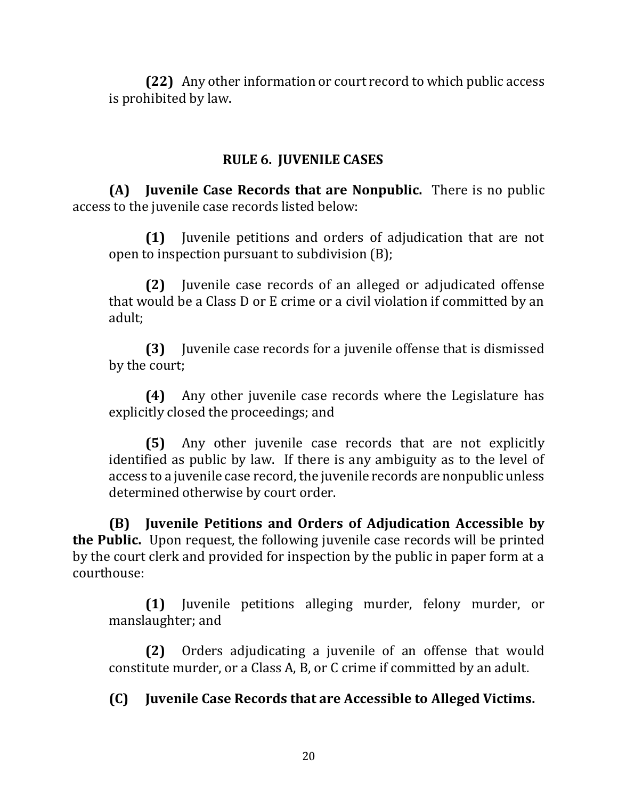**(22)** Any other information or court record to which public access is prohibited by law.

### **RULE 6. JUVENILE CASES**

**(A) Juvenile Case Records that are Nonpublic.** There is no public access to the juvenile case records listed below:

**(1)** Juvenile petitions and orders of adjudication that are not open to inspection pursuant to subdivision (B);

**(2)** Juvenile case records of an alleged or adjudicated offense that would be a Class D or E crime or a civil violation if committed by an adult;

**(3)** Juvenile case records for a juvenile offense that is dismissed by the court;

**(4)** Any other juvenile case records where the Legislature has explicitly closed the proceedings; and

**(5)** Any other juvenile case records that are not explicitly identified as public by law. If there is any ambiguity as to the level of access to a juvenile case record, the juvenile records are nonpublic unless determined otherwise by court order.

**(B) Juvenile Petitions and Orders of Adjudication Accessible by the Public.** Upon request, the following juvenile case records will be printed by the court clerk and provided for inspection by the public in paper form at a courthouse:

**(1)** Juvenile petitions alleging murder, felony murder, or manslaughter; and

**(2)** Orders adjudicating a juvenile of an offense that would constitute murder, or a Class A, B, or C crime if committed by an adult.

**(C) Juvenile Case Records that are Accessible to Alleged Victims.**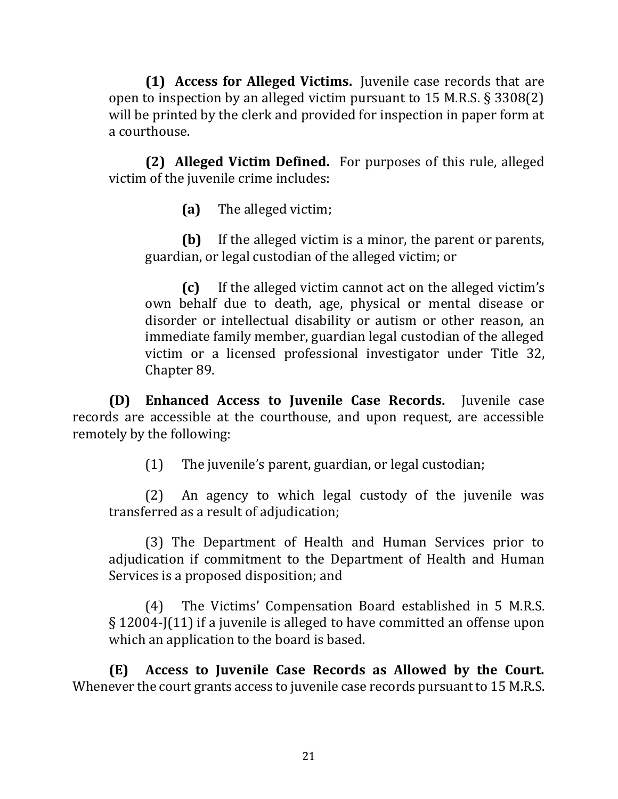**(1) Access for Alleged Victims.** Juvenile case records that are open to inspection by an alleged victim pursuant to 15 M.R.S. § 3308(2) will be printed by the clerk and provided for inspection in paper form at a courthouse.

**(2) Alleged Victim Defined.** For purposes of this rule, alleged victim of the juvenile crime includes:

**(a)** The alleged victim;

**(b)** If the alleged victim is a minor, the parent or parents, guardian, or legal custodian of the alleged victim; or

**(c)** If the alleged victim cannot act on the alleged victim's own behalf due to death, age, physical or mental disease or disorder or intellectual disability or autism or other reason, an immediate family member, guardian legal custodian of the alleged victim or a licensed professional investigator under Title 32, Chapter 89.

**(D) Enhanced Access to Juvenile Case Records.** Juvenile case records are accessible at the courthouse, and upon request, are accessible remotely by the following:

(1) The juvenile's parent, guardian, or legal custodian;

(2) An agency to which legal custody of the juvenile was transferred as a result of adjudication;

(3) The Department of Health and Human Services prior to adjudication if commitment to the Department of Health and Human Services is a proposed disposition; and

(4) The Victims' Compensation Board established in 5 M.R.S. § 12004-J(11) if a juvenile is alleged to have committed an offense upon which an application to the board is based.

**(E) Access to Juvenile Case Records as Allowed by the Court.**  Whenever the court grants access to juvenile case records pursuant to 15 M.R.S.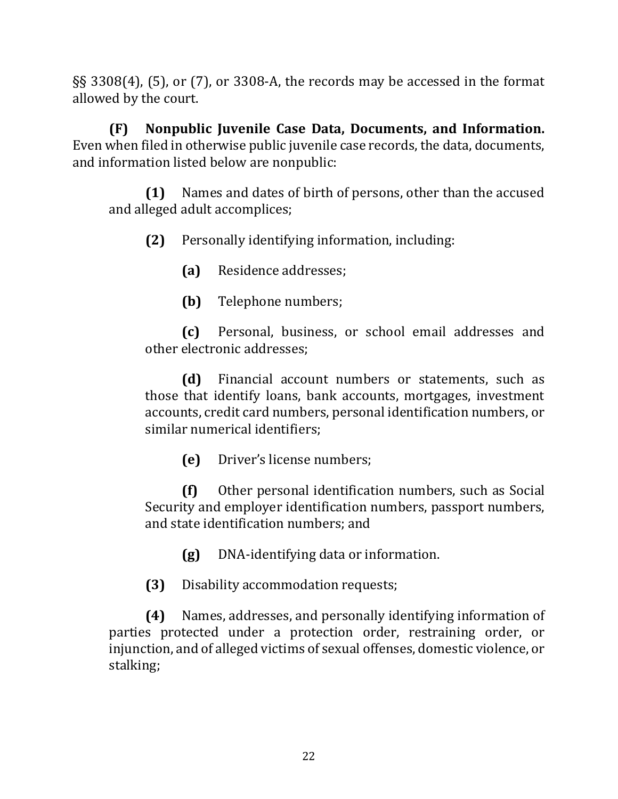§§ 3308(4), (5), or (7), or 3308-A, the records may be accessed in the format allowed by the court.

**(F) Nonpublic Juvenile Case Data, Documents, and Information.**  Even when filed in otherwise public juvenile case records, the data, documents, and information listed below are nonpublic:

**(1)** Names and dates of birth of persons, other than the accused and alleged adult accomplices;

**(2)** Personally identifying information, including:

**(a)** Residence addresses;

**(b)** Telephone numbers;

**(c)** Personal, business, or school email addresses and other electronic addresses;

**(d)** Financial account numbers or statements, such as those that identify loans, bank accounts, mortgages, investment accounts, credit card numbers, personal identification numbers, or similar numerical identifiers;

**(e)** Driver's license numbers;

**(f)** Other personal identification numbers, such as Social Security and employer identification numbers, passport numbers, and state identification numbers; and

**(g)** DNA-identifying data or information.

**(3)** Disability accommodation requests;

**(4)** Names, addresses, and personally identifying information of parties protected under a protection order, restraining order, or injunction, and of alleged victims of sexual offenses, domestic violence, or stalking;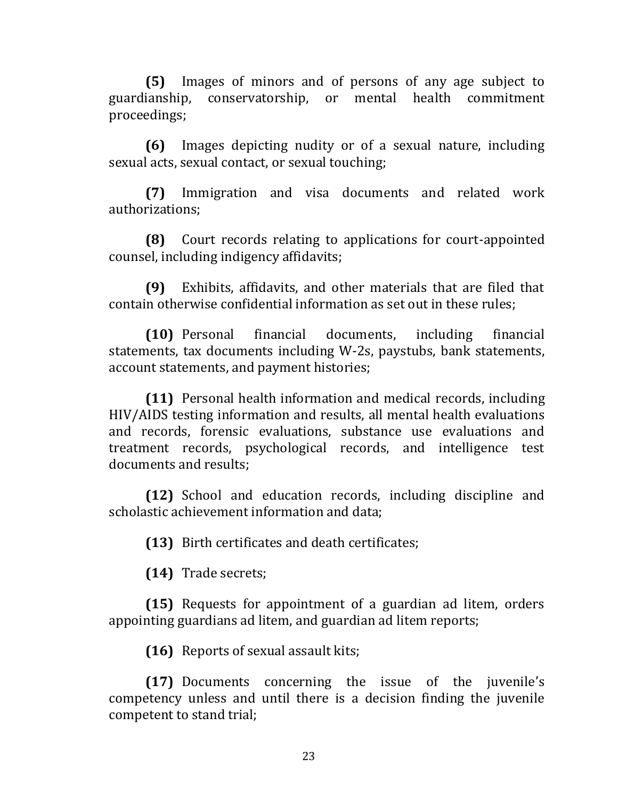**(5)** Images of minors and of persons of any age subject to guardianship, conservatorship, or mental health commitment proceedings;

**(6)** Images depicting nudity or of a sexual nature, including sexual acts, sexual contact, or sexual touching;

**(7)** Immigration and visa documents and related work authorizations;

**(8)** Court records relating to applications for court-appointed counsel, including indigency affidavits;

**(9)** Exhibits, affidavits, and other materials that are filed that contain otherwise confidential information as set out in these rules;

**(10)** Personal financial documents, including financial statements, tax documents including W-2s, paystubs, bank statements, account statements, and payment histories;

**(11)** Personal health information and medical records, including HIV/AIDS testing information and results, all mental health evaluations and records, forensic evaluations, substance use evaluations and treatment records, psychological records, and intelligence test documents and results;

**(12)** School and education records, including discipline and scholastic achievement information and data;

**(13)** Birth certificates and death certificates;

**(14)** Trade secrets;

**(15)** Requests for appointment of a guardian ad litem, orders appointing guardians ad litem, and guardian ad litem reports;

**(16)** Reports of sexual assault kits;

**(17)** Documents concerning the issue of the juvenile's competency unless and until there is a decision finding the juvenile competent to stand trial;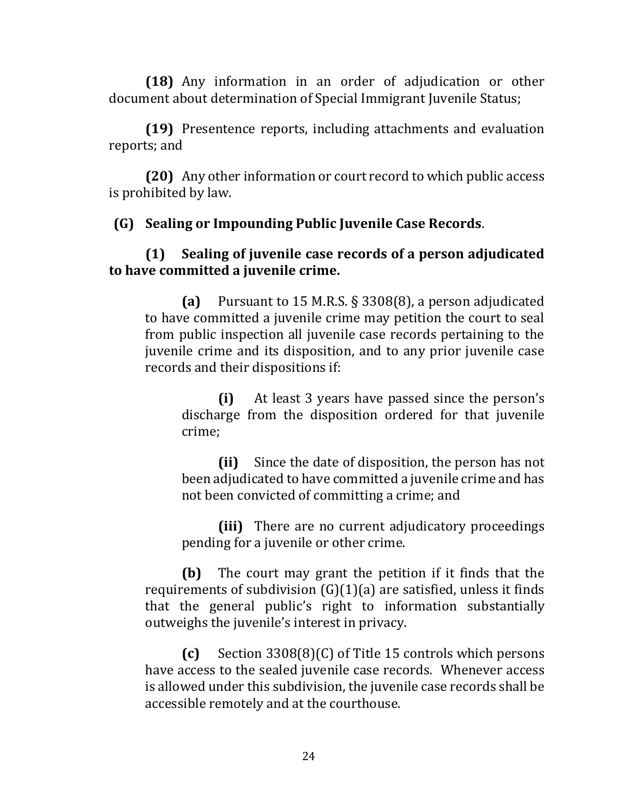**(18)** Any information in an order of adjudication or other document about determination of Special Immigrant Juvenile Status;

**(19)** Presentence reports, including attachments and evaluation reports; and

**(20)** Any other information or court record to which public access is prohibited by law.

#### **(G) Sealing or Impounding Public Juvenile Case Records**.

#### **(1) Sealing of juvenile case records of a person adjudicated to have committed a juvenile crime.**

**(a)** Pursuant to 15 M.R.S. § 3308(8), a person adjudicated to have committed a juvenile crime may petition the court to seal from public inspection all juvenile case records pertaining to the juvenile crime and its disposition, and to any prior juvenile case records and their dispositions if:

**(i)** At least 3 years have passed since the person's discharge from the disposition ordered for that juvenile crime;

**(ii)** Since the date of disposition, the person has not been adjudicated to have committed a juvenile crime and has not been convicted of committing a crime; and

**(iii)** There are no current adjudicatory proceedings pending for a juvenile or other crime.

**(b)** The court may grant the petition if it finds that the requirements of subdivision  $(G)(1)(a)$  are satisfied, unless it finds that the general public's right to information substantially outweighs the juvenile's interest in privacy.

**(c)** Section 3308(8)(C) of Title 15 controls which persons have access to the sealed juvenile case records. Whenever access is allowed under this subdivision, the juvenile case records shall be accessible remotely and at the courthouse.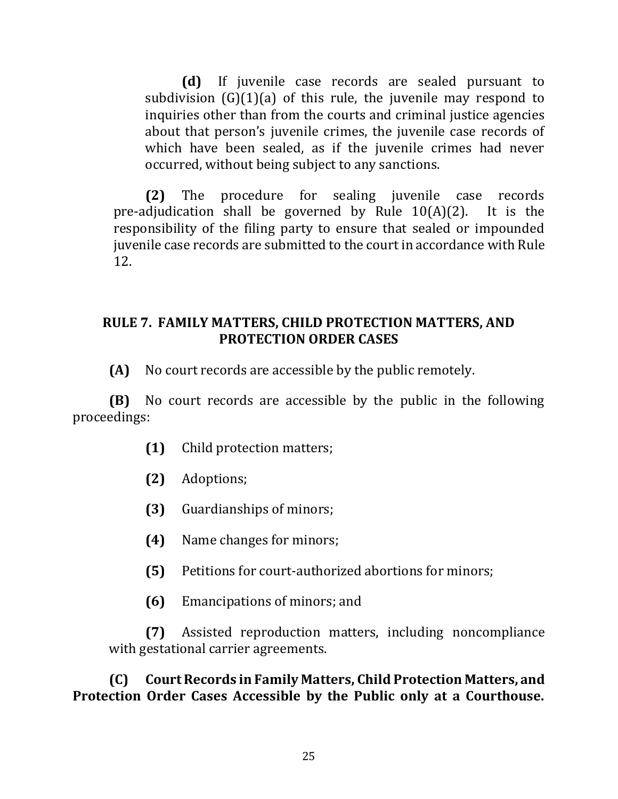**(d)** If juvenile case records are sealed pursuant to subdivision  $(G)(1)(a)$  of this rule, the juvenile may respond to inquiries other than from the courts and criminal justice agencies about that person's juvenile crimes, the juvenile case records of which have been sealed, as if the juvenile crimes had never occurred, without being subject to any sanctions.

**(2)** The procedure for sealing juvenile case records pre-adjudication shall be governed by Rule 10(A)(2). It is the responsibility of the filing party to ensure that sealed or impounded juvenile case records are submitted to the court in accordance with Rule 12.

#### **RULE 7. FAMILY MATTERS, CHILD PROTECTION MATTERS, AND PROTECTION ORDER CASES**

**(A)** No court records are accessible by the public remotely.

**(B)** No court records are accessible by the public in the following proceedings:

- **(1)** Child protection matters;
- **(2)** Adoptions;
- **(3)** Guardianships of minors;
- **(4)** Name changes for minors;
- **(5)** Petitions for court-authorized abortions for minors;
- **(6)** Emancipations of minors; and

**(7)** Assisted reproduction matters, including noncompliance with gestational carrier agreements.

**(C) Court Records in Family Matters, Child Protection Matters, and Protection Order Cases Accessible by the Public only at a Courthouse.**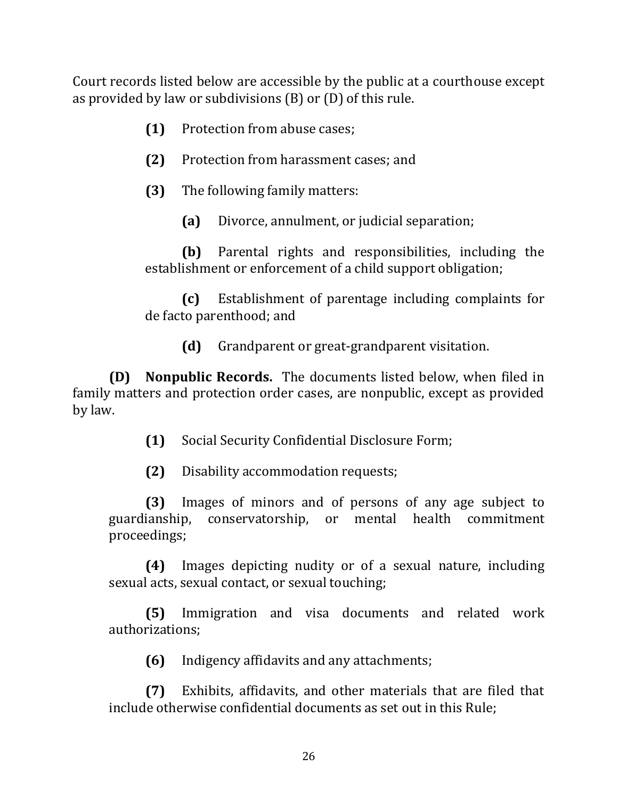Court records listed below are accessible by the public at a courthouse except as provided by law or subdivisions (B) or (D) of this rule.

- **(1)** Protection from abuse cases;
- **(2)** Protection from harassment cases; and
- **(3)** The following family matters:
	- **(a)** Divorce, annulment, or judicial separation;

**(b)** Parental rights and responsibilities, including the establishment or enforcement of a child support obligation;

**(c)** Establishment of parentage including complaints for de facto parenthood; and

**(d)** Grandparent or great-grandparent visitation.

**(D) Nonpublic Records.** The documents listed below, when filed in family matters and protection order cases, are nonpublic, except as provided by law.

**(1)** Social Security Confidential Disclosure Form;

**(2)** Disability accommodation requests;

**(3)** Images of minors and of persons of any age subject to guardianship, conservatorship, or mental health commitment proceedings;

**(4)** Images depicting nudity or of a sexual nature, including sexual acts, sexual contact, or sexual touching;

**(5)** Immigration and visa documents and related work authorizations;

**(6)** Indigency affidavits and any attachments;

**(7)** Exhibits, affidavits, and other materials that are filed that include otherwise confidential documents as set out in this Rule;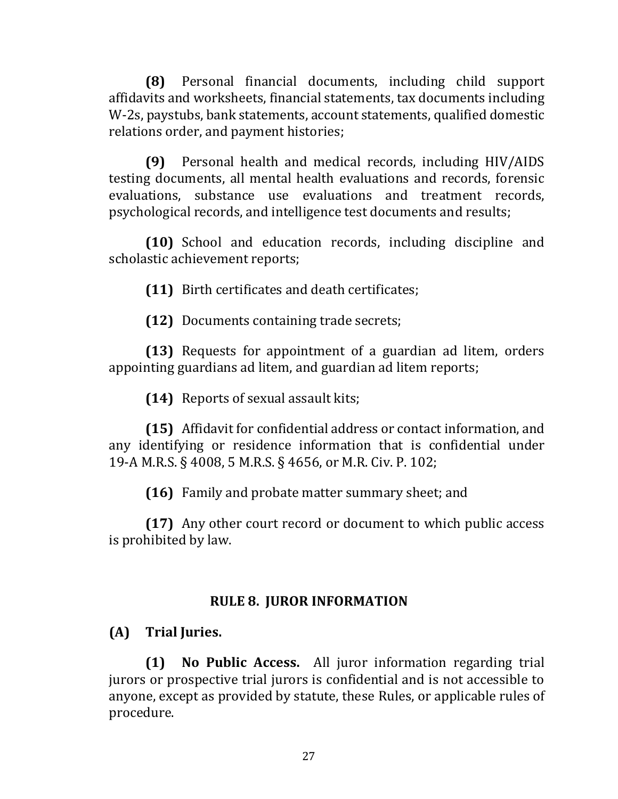**(8)** Personal financial documents, including child support affidavits and worksheets, financial statements, tax documents including W-2s, paystubs, bank statements, account statements, qualified domestic relations order, and payment histories;

**(9)** Personal health and medical records, including HIV/AIDS testing documents, all mental health evaluations and records, forensic evaluations, substance use evaluations and treatment records, psychological records, and intelligence test documents and results;

**(10)** School and education records, including discipline and scholastic achievement reports;

**(11)** Birth certificates and death certificates;

**(12)** Documents containing trade secrets;

**(13)** Requests for appointment of a guardian ad litem, orders appointing guardians ad litem, and guardian ad litem reports;

**(14)** Reports of sexual assault kits;

**(15)** Affidavit for confidential address or contact information, and any identifying or residence information that is confidential under 19-A M.R.S. § 4008, 5 M.R.S. § 4656, or M.R. Civ. P. 102;

**(16)** Family and probate matter summary sheet; and

**(17)** Any other court record or document to which public access is prohibited by law.

# **RULE 8. JUROR INFORMATION**

# **(A) Trial Juries.**

**(1) No Public Access.** All juror information regarding trial jurors or prospective trial jurors is confidential and is not accessible to anyone, except as provided by statute, these Rules, or applicable rules of procedure.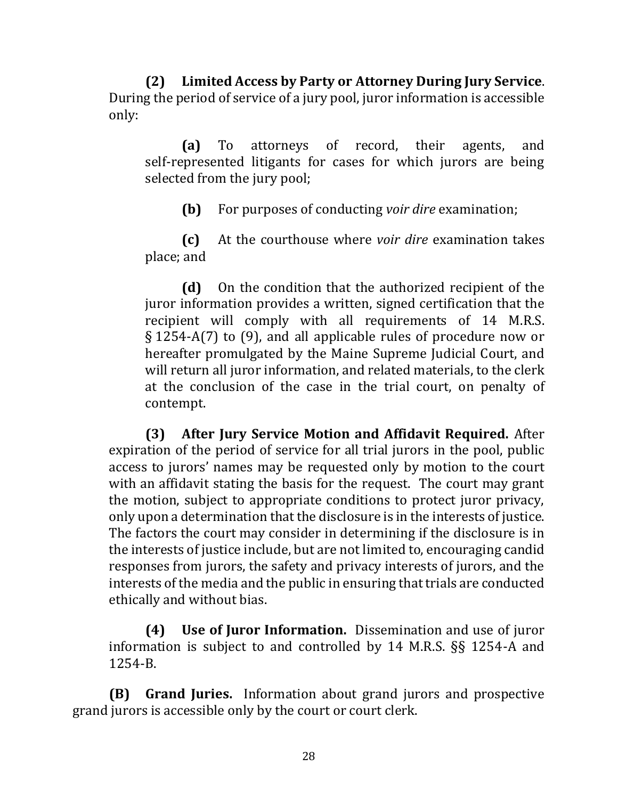**(2) Limited Access by Party or Attorney During Jury Service**. During the period of service of a jury pool, juror information is accessible only:

**(a)** To attorneys of record, their agents, and self-represented litigants for cases for which jurors are being selected from the jury pool;

**(b)** For purposes of conducting *voir dire* examination;

**(c)** At the courthouse where *voir dire* examination takes place; and

**(d)** On the condition that the authorized recipient of the juror information provides a written, signed certification that the recipient will comply with all requirements of 14 M.R.S. § 1254-A(7) to (9), and all applicable rules of procedure now or hereafter promulgated by the Maine Supreme Judicial Court, and will return all juror information, and related materials, to the clerk at the conclusion of the case in the trial court, on penalty of contempt.

**(3) After Jury Service Motion and Affidavit Required.** After expiration of the period of service for all trial jurors in the pool, public access to jurors' names may be requested only by motion to the court with an affidavit stating the basis for the request. The court may grant the motion, subject to appropriate conditions to protect juror privacy, only upon a determination that the disclosure is in the interests of justice. The factors the court may consider in determining if the disclosure is in the interests of justice include, but are not limited to, encouraging candid responses from jurors, the safety and privacy interests of jurors, and the interests of the media and the public in ensuring that trials are conducted ethically and without bias.

**(4) Use of Juror Information.** Dissemination and use of juror information is subject to and controlled by 14 M.R.S. §§ 1254-A and 1254-B.

**(B) Grand Juries.** Information about grand jurors and prospective grand jurors is accessible only by the court or court clerk.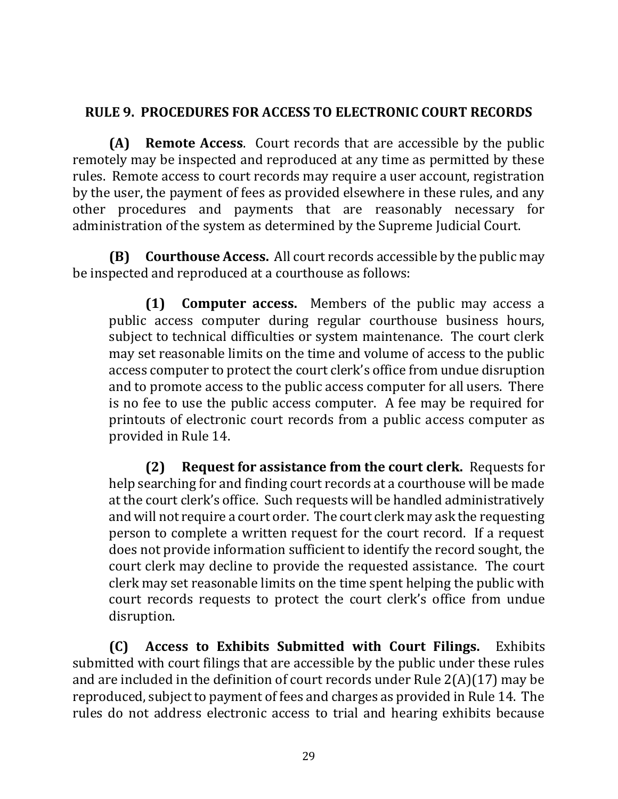# **RULE 9. PROCEDURES FOR ACCESS TO ELECTRONIC COURT RECORDS**

**(A) Remote Access**. Court records that are accessible by the public remotely may be inspected and reproduced at any time as permitted by these rules. Remote access to court records may require a user account, registration by the user, the payment of fees as provided elsewhere in these rules, and any other procedures and payments that are reasonably necessary for administration of the system as determined by the Supreme Judicial Court.

**(B) Courthouse Access.** All court records accessible by the public may be inspected and reproduced at a courthouse as follows:

**(1) Computer access.** Members of the public may access a public access computer during regular courthouse business hours, subject to technical difficulties or system maintenance. The court clerk may set reasonable limits on the time and volume of access to the public access computer to protect the court clerk's office from undue disruption and to promote access to the public access computer for all users. There is no fee to use the public access computer. A fee may be required for printouts of electronic court records from a public access computer as provided in Rule 14.

**(2) Request for assistance from the court clerk.** Requests for help searching for and finding court records at a courthouse will be made at the court clerk's office. Such requests will be handled administratively and will not require a court order. The court clerk may ask the requesting person to complete a written request for the court record. If a request does not provide information sufficient to identify the record sought, the court clerk may decline to provide the requested assistance. The court clerk may set reasonable limits on the time spent helping the public with court records requests to protect the court clerk's office from undue disruption.

**(C) Access to Exhibits Submitted with Court Filings.** Exhibits submitted with court filings that are accessible by the public under these rules and are included in the definition of court records under Rule 2(A)(17) may be reproduced, subject to payment of fees and charges as provided in Rule 14. The rules do not address electronic access to trial and hearing exhibits because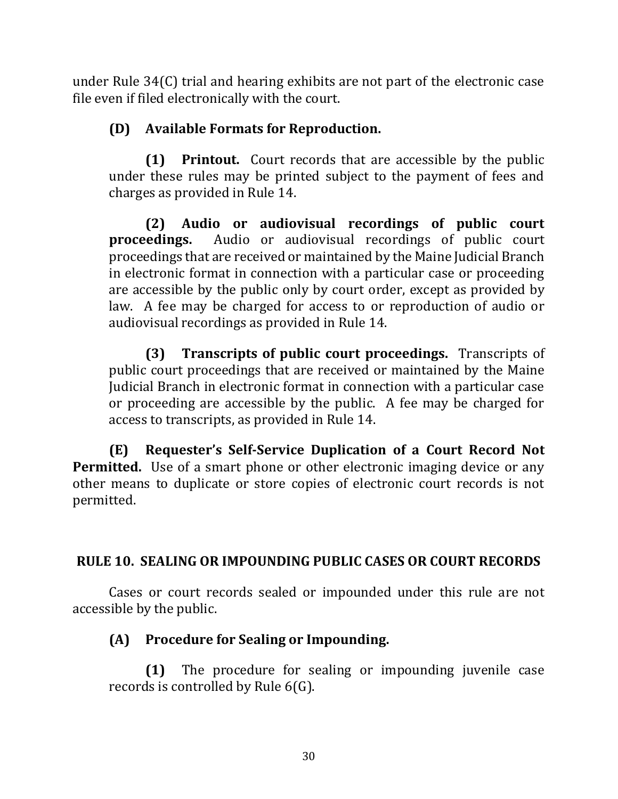under Rule 34(C) trial and hearing exhibits are not part of the electronic case file even if filed electronically with the court.

# **(D) Available Formats for Reproduction.**

**(1) Printout.** Court records that are accessible by the public under these rules may be printed subject to the payment of fees and charges as provided in Rule 14.

**(2) Audio or audiovisual recordings of public court proceedings.** Audio or audiovisual recordings of public court proceedings that are received or maintained by the Maine Judicial Branch in electronic format in connection with a particular case or proceeding are accessible by the public only by court order, except as provided by law. A fee may be charged for access to or reproduction of audio or audiovisual recordings as provided in Rule 14.

**(3) Transcripts of public court proceedings.** Transcripts of public court proceedings that are received or maintained by the Maine Judicial Branch in electronic format in connection with a particular case or proceeding are accessible by the public. A fee may be charged for access to transcripts, as provided in Rule 14.

**(E) Requester's Self-Service Duplication of a Court Record Not Permitted.** Use of a smart phone or other electronic imaging device or any other means to duplicate or store copies of electronic court records is not permitted.

# **RULE 10. SEALING OR IMPOUNDING PUBLIC CASES OR COURT RECORDS**

Cases or court records sealed or impounded under this rule are not accessible by the public.

### **(A) Procedure for Sealing or Impounding.**

**(1)** The procedure for sealing or impounding juvenile case records is controlled by Rule 6(G).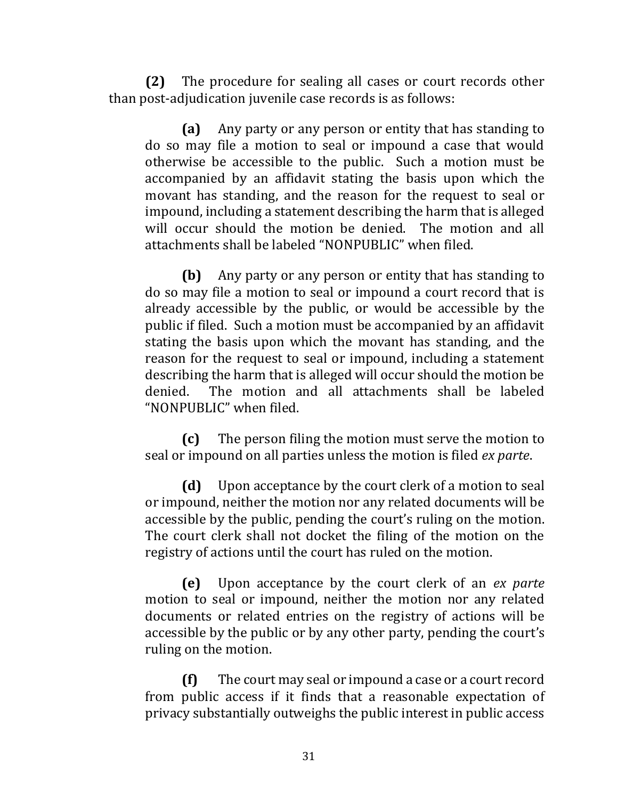**(2)** The procedure for sealing all cases or court records other than post-adjudication juvenile case records is as follows:

**(a)** Any party or any person or entity that has standing to do so may file a motion to seal or impound a case that would otherwise be accessible to the public. Such a motion must be accompanied by an affidavit stating the basis upon which the movant has standing, and the reason for the request to seal or impound, including a statement describing the harm that is alleged will occur should the motion be denied. The motion and all attachments shall be labeled "NONPUBLIC" when filed.

**(b)** Any party or any person or entity that has standing to do so may file a motion to seal or impound a court record that is already accessible by the public, or would be accessible by the public if filed. Such a motion must be accompanied by an affidavit stating the basis upon which the movant has standing, and the reason for the request to seal or impound, including a statement describing the harm that is alleged will occur should the motion be denied. The motion and all attachments shall be labeled "NONPUBLIC" when filed.

**(c)** The person filing the motion must serve the motion to seal or impound on all parties unless the motion is filed *ex parte*.

**(d)** Upon acceptance by the court clerk of a motion to seal or impound, neither the motion nor any related documents will be accessible by the public, pending the court's ruling on the motion. The court clerk shall not docket the filing of the motion on the registry of actions until the court has ruled on the motion.

**(e)** Upon acceptance by the court clerk of an *ex parte* motion to seal or impound, neither the motion nor any related documents or related entries on the registry of actions will be accessible by the public or by any other party, pending the court's ruling on the motion.

**(f)** The court may seal or impound a case or a court record from public access if it finds that a reasonable expectation of privacy substantially outweighs the public interest in public access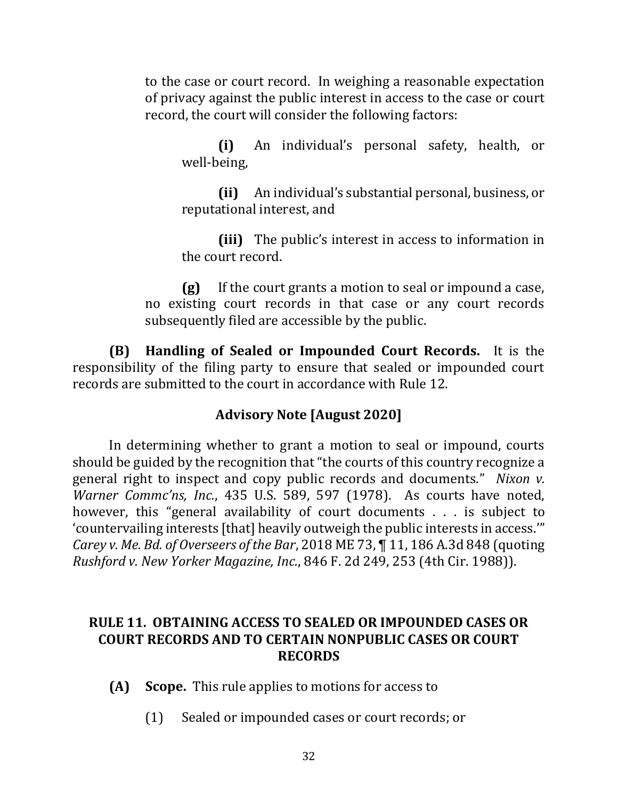to the case or court record. In weighing a reasonable expectation of privacy against the public interest in access to the case or court record, the court will consider the following factors:

**(i)** An individual's personal safety, health, or well-being,

**(ii)** An individual's substantial personal, business, or reputational interest, and

**(iii)** The public's interest in access to information in the court record.

**(g)** If the court grants a motion to seal or impound a case, no existing court records in that case or any court records subsequently filed are accessible by the public.

**(B) Handling of Sealed or Impounded Court Records.** It is the responsibility of the filing party to ensure that sealed or impounded court records are submitted to the court in accordance with Rule 12.

### **Advisory Note [August 2020]**

In determining whether to grant a motion to seal or impound, courts should be guided by the recognition that "the courts of this country recognize a general right to inspect and copy public records and documents." *Nixon v. Warner Commc'ns, Inc.*, 435 U.S. 589, 597 (1978). As courts have noted, however, this "general availability of court documents . . . is subject to 'countervailing interests [that] heavily outweigh the public interests in access.'" *Carey v. Me. Bd. of Overseers of the Bar*, 2018 ME 73, ¶ 11, 186 A.3d 848 (quoting *Rushford v. New Yorker Magazine, Inc.*, 846 F. 2d 249, 253 (4th Cir. 1988)).

#### **RULE 11. OBTAINING ACCESS TO SEALED OR IMPOUNDED CASES OR COURT RECORDS AND TO CERTAIN NONPUBLIC CASES OR COURT RECORDS**

- **(A) Scope.** This rule applies to motions for access to
	- (1) Sealed or impounded cases or court records; or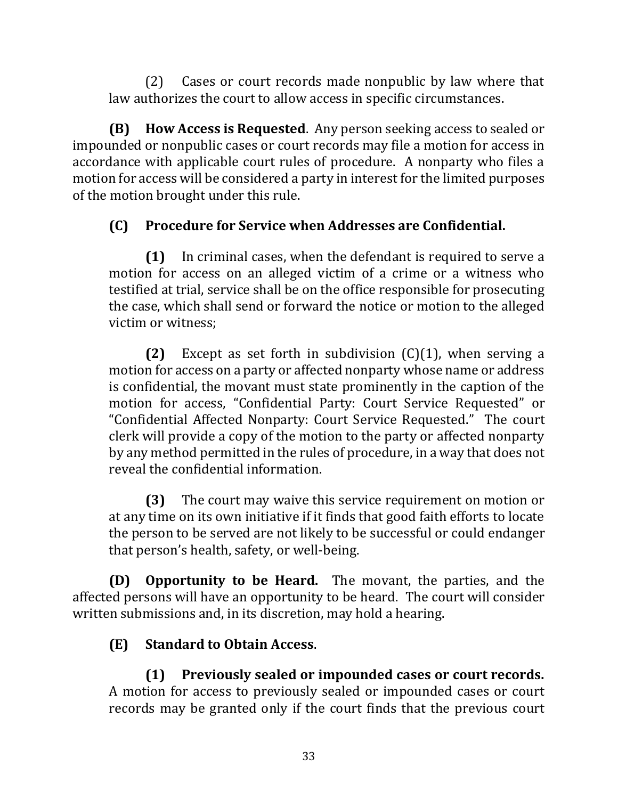(2) Cases or court records made nonpublic by law where that law authorizes the court to allow access in specific circumstances.

**(B) How Access is Requested**. Any person seeking access to sealed or impounded or nonpublic cases or court records may file a motion for access in accordance with applicable court rules of procedure. A nonparty who files a motion for access will be considered a party in interest for the limited purposes of the motion brought under this rule.

# **(C) Procedure for Service when Addresses are Confidential.**

**(1)** In criminal cases, when the defendant is required to serve a motion for access on an alleged victim of a crime or a witness who testified at trial, service shall be on the office responsible for prosecuting the case, which shall send or forward the notice or motion to the alleged victim or witness;

**(2)** Except as set forth in subdivision (C)(1), when serving a motion for access on a party or affected nonparty whose name or address is confidential, the movant must state prominently in the caption of the motion for access, "Confidential Party: Court Service Requested" or "Confidential Affected Nonparty: Court Service Requested." The court clerk will provide a copy of the motion to the party or affected nonparty by any method permitted in the rules of procedure, in a way that does not reveal the confidential information.

**(3)** The court may waive this service requirement on motion or at any time on its own initiative if it finds that good faith efforts to locate the person to be served are not likely to be successful or could endanger that person's health, safety, or well-being.

**(D) Opportunity to be Heard.** The movant, the parties, and the affected persons will have an opportunity to be heard. The court will consider written submissions and, in its discretion, may hold a hearing.

# **(E) Standard to Obtain Access**.

**(1) Previously sealed or impounded cases or court records.** A motion for access to previously sealed or impounded cases or court records may be granted only if the court finds that the previous court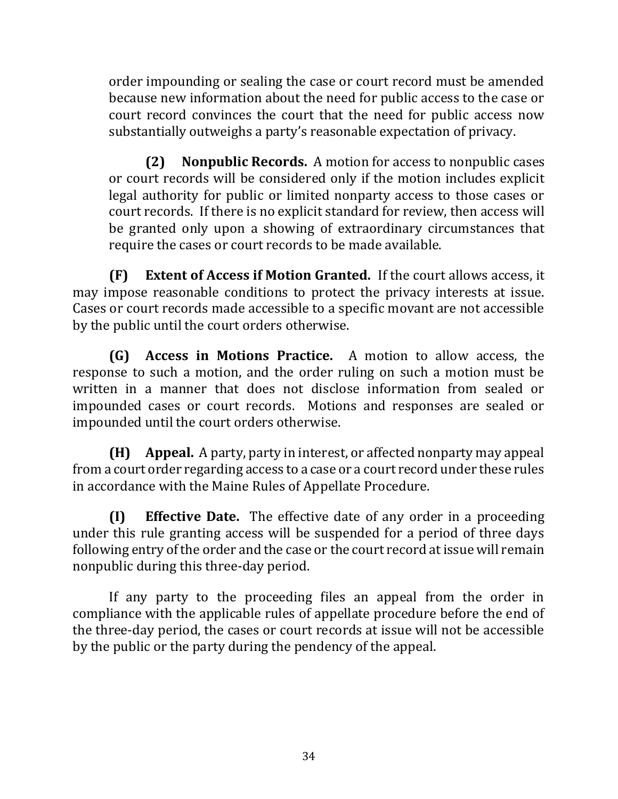order impounding or sealing the case or court record must be amended because new information about the need for public access to the case or court record convinces the court that the need for public access now substantially outweighs a party's reasonable expectation of privacy.

**(2) Nonpublic Records.** A motion for access to nonpublic cases or court records will be considered only if the motion includes explicit legal authority for public or limited nonparty access to those cases or court records. If there is no explicit standard for review, then access will be granted only upon a showing of extraordinary circumstances that require the cases or court records to be made available.

**(F) Extent of Access if Motion Granted.** If the court allows access, it may impose reasonable conditions to protect the privacy interests at issue. Cases or court records made accessible to a specific movant are not accessible by the public until the court orders otherwise.

**(G) Access in Motions Practice.** A motion to allow access, the response to such a motion, and the order ruling on such a motion must be written in a manner that does not disclose information from sealed or impounded cases or court records. Motions and responses are sealed or impounded until the court orders otherwise.

**(H) Appeal.** A party, party in interest, or affected nonparty may appeal from a court order regarding access to a case or a court record under these rules in accordance with the Maine Rules of Appellate Procedure.

**(I) Effective Date.** The effective date of any order in a proceeding under this rule granting access will be suspended for a period of three days following entry of the order and the case or the court record at issue will remain nonpublic during this three-day period.

If any party to the proceeding files an appeal from the order in compliance with the applicable rules of appellate procedure before the end of the three-day period, the cases or court records at issue will not be accessible by the public or the party during the pendency of the appeal.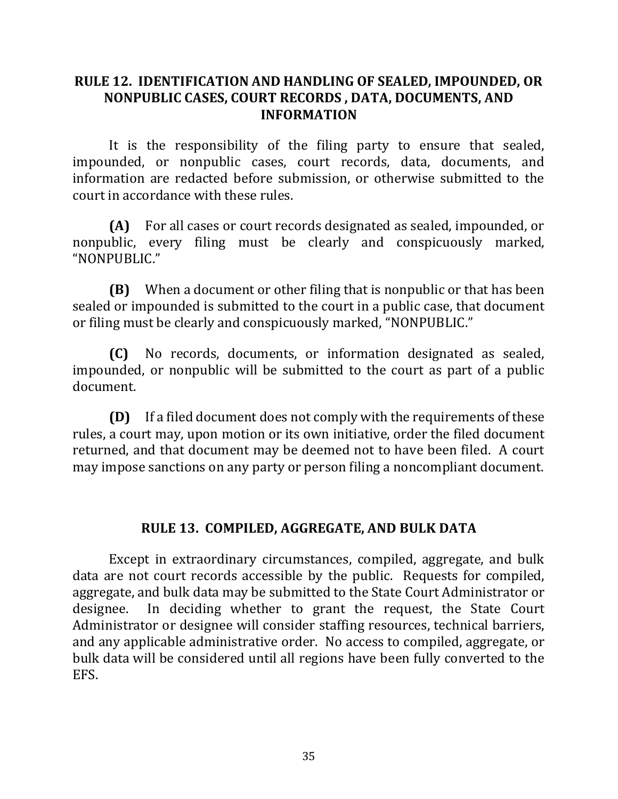#### **RULE 12. IDENTIFICATION AND HANDLING OF SEALED, IMPOUNDED, OR NONPUBLIC CASES, COURT RECORDS , DATA, DOCUMENTS, AND INFORMATION**

It is the responsibility of the filing party to ensure that sealed, impounded, or nonpublic cases, court records, data, documents, and information are redacted before submission, or otherwise submitted to the court in accordance with these rules.

**(A)** For all cases or court records designated as sealed, impounded, or nonpublic, every filing must be clearly and conspicuously marked, "NONPUBLIC."

**(B)** When a document or other filing that is nonpublic or that has been sealed or impounded is submitted to the court in a public case, that document or filing must be clearly and conspicuously marked, "NONPUBLIC."

**(C)** No records, documents, or information designated as sealed, impounded, or nonpublic will be submitted to the court as part of a public document.

**(D)** If a filed document does not comply with the requirements of these rules, a court may, upon motion or its own initiative, order the filed document returned, and that document may be deemed not to have been filed. A court may impose sanctions on any party or person filing a noncompliant document.

### **RULE 13. COMPILED, AGGREGATE, AND BULK DATA**

Except in extraordinary circumstances, compiled, aggregate, and bulk data are not court records accessible by the public. Requests for compiled, aggregate, and bulk data may be submitted to the State Court Administrator or designee. In deciding whether to grant the request, the State Court Administrator or designee will consider staffing resources, technical barriers, and any applicable administrative order. No access to compiled, aggregate, or bulk data will be considered until all regions have been fully converted to the EFS.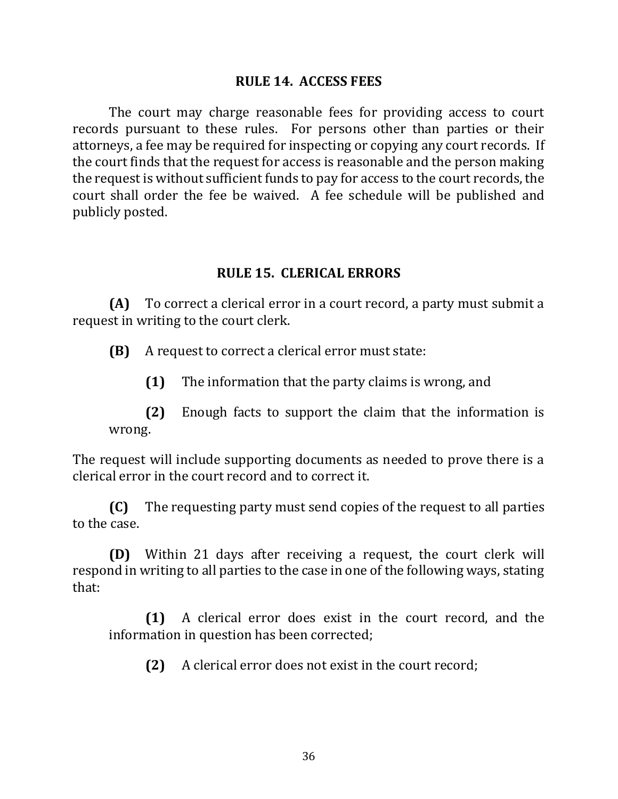#### **RULE 14. ACCESS FEES**

The court may charge reasonable fees for providing access to court records pursuant to these rules. For persons other than parties or their attorneys, a fee may be required for inspecting or copying any court records. If the court finds that the request for access is reasonable and the person making the request is without sufficient funds to pay for access to the court records, the court shall order the fee be waived. A fee schedule will be published and publicly posted.

#### **RULE 15. CLERICAL ERRORS**

**(A)** To correct a clerical error in a court record, a party must submit a request in writing to the court clerk.

**(B)** A request to correct a clerical error must state:

**(1)** The information that the party claims is wrong, and

**(2)** Enough facts to support the claim that the information is wrong.

The request will include supporting documents as needed to prove there is a clerical error in the court record and to correct it.

**(C)** The requesting party must send copies of the request to all parties to the case.

**(D)** Within 21 days after receiving a request, the court clerk will respond in writing to all parties to the case in one of the following ways, stating that:

**(1)** A clerical error does exist in the court record, and the information in question has been corrected;

**(2)** A clerical error does not exist in the court record;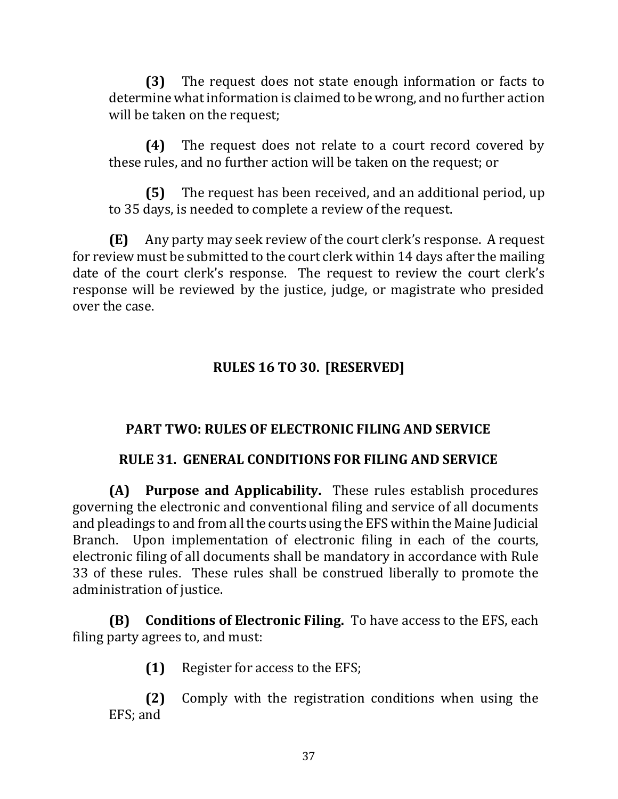**(3)** The request does not state enough information or facts to determine what information is claimed to be wrong, and no further action will be taken on the request;

**(4)** The request does not relate to a court record covered by these rules, and no further action will be taken on the request; or

**(5)** The request has been received, and an additional period, up to 35 days, is needed to complete a review of the request.

**(E)** Any party may seek review of the court clerk's response. A request for review must be submitted to the court clerk within 14 days after the mailing date of the court clerk's response. The request to review the court clerk's response will be reviewed by the justice, judge, or magistrate who presided over the case.

# **RULES 16 TO 30. [RESERVED]**

# **PART TWO: RULES OF ELECTRONIC FILING AND SERVICE**

### **RULE 31. GENERAL CONDITIONS FOR FILING AND SERVICE**

**(A) Purpose and Applicability.** These rules establish procedures governing the electronic and conventional filing and service of all documents and pleadings to and from all the courts using the EFS within the Maine Judicial Branch. Upon implementation of electronic filing in each of the courts, electronic filing of all documents shall be mandatory in accordance with Rule 33 of these rules. These rules shall be construed liberally to promote the administration of justice.

**(B) Conditions of Electronic Filing.** To have access to the EFS, each filing party agrees to, and must:

**(1)** Register for access to the EFS;

**(2)** Comply with the registration conditions when using the EFS; and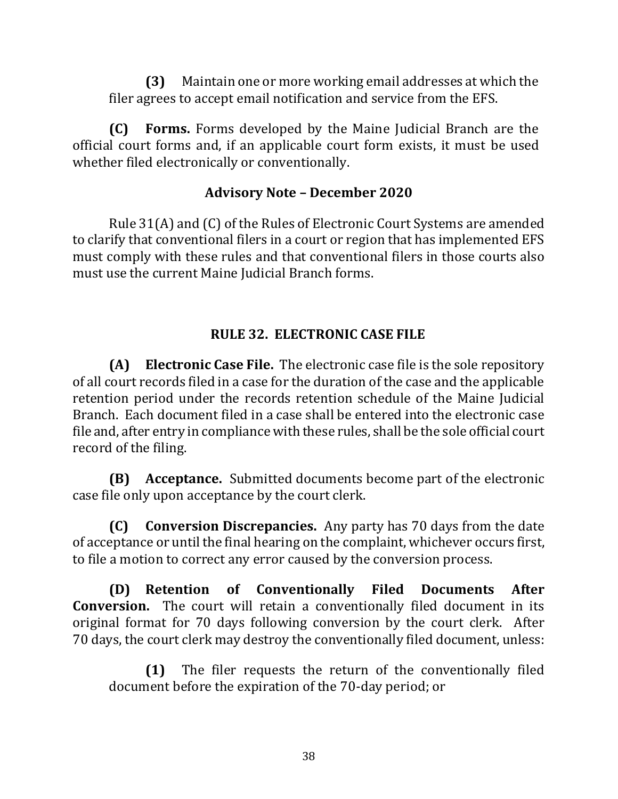**(3)** Maintain one or more working email addresses at which the filer agrees to accept email notification and service from the EFS.

**(C) Forms.** Forms developed by the Maine Judicial Branch are the official court forms and, if an applicable court form exists, it must be used whether filed electronically or conventionally.

### **Advisory Note – December 2020**

Rule 31(A) and (C) of the Rules of Electronic Court Systems are amended to clarify that conventional filers in a court or region that has implemented EFS must comply with these rules and that conventional filers in those courts also must use the current Maine Judicial Branch forms.

# **RULE 32. ELECTRONIC CASE FILE**

**(A) Electronic Case File.** The electronic case file is the sole repository of all court records filed in a case for the duration of the case and the applicable retention period under the records retention schedule of the Maine Judicial Branch. Each document filed in a case shall be entered into the electronic case file and, after entry in compliance with these rules, shall be the sole official court record of the filing.

**(B) Acceptance.** Submitted documents become part of the electronic case file only upon acceptance by the court clerk.

**(C) Conversion Discrepancies.** Any party has 70 days from the date of acceptance or until the final hearing on the complaint, whichever occurs first, to file a motion to correct any error caused by the conversion process.

**(D) Retention of Conventionally Filed Documents After Conversion.** The court will retain a conventionally filed document in its original format for 70 days following conversion by the court clerk. After 70 days, the court clerk may destroy the conventionally filed document, unless:

**(1)** The filer requests the return of the conventionally filed document before the expiration of the 70-day period; or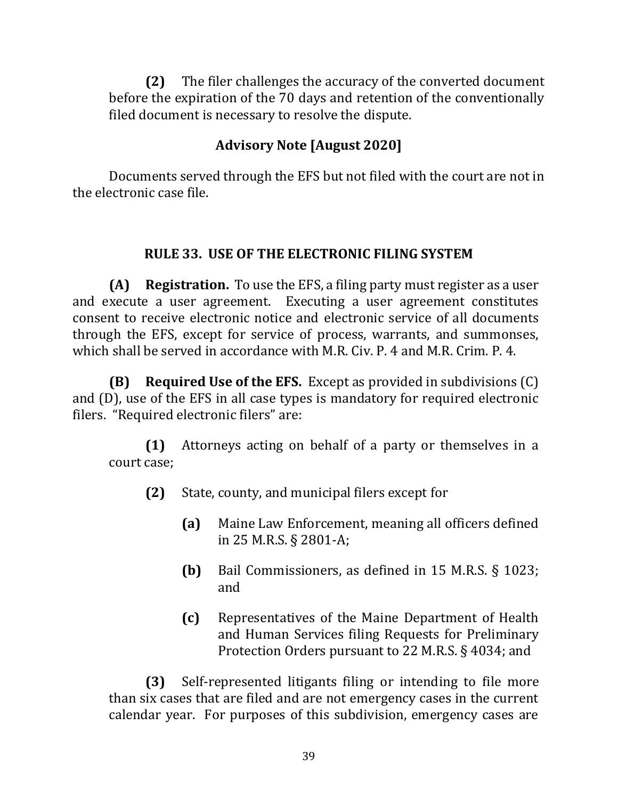**(2)** The filer challenges the accuracy of the converted document before the expiration of the 70 days and retention of the conventionally filed document is necessary to resolve the dispute.

# **Advisory Note [August 2020]**

Documents served through the EFS but not filed with the court are not in the electronic case file.

# **RULE 33. USE OF THE ELECTRONIC FILING SYSTEM**

**(A) Registration.** To use the EFS, a filing party must register as a user and execute a user agreement. Executing a user agreement constitutes consent to receive electronic notice and electronic service of all documents through the EFS, except for service of process, warrants, and summonses, which shall be served in accordance with M.R. Civ. P. 4 and M.R. Crim. P. 4.

**(B) Required Use of the EFS.** Except as provided in subdivisions (C) and (D), use of the EFS in all case types is mandatory for required electronic filers. "Required electronic filers" are:

**(1)** Attorneys acting on behalf of a party or themselves in a court case;

- **(2)** State, county, and municipal filers except for
	- **(a)** Maine Law Enforcement, meaning all officers defined in 25 M.R.S. § 2801-A;
	- **(b)** Bail Commissioners, as defined in 15 M.R.S. § 1023; and
	- **(c)** Representatives of the Maine Department of Health and Human Services filing Requests for Preliminary Protection Orders pursuant to 22 M.R.S. § 4034; and

**(3)** Self-represented litigants filing or intending to file more than six cases that are filed and are not emergency cases in the current calendar year. For purposes of this subdivision, emergency cases are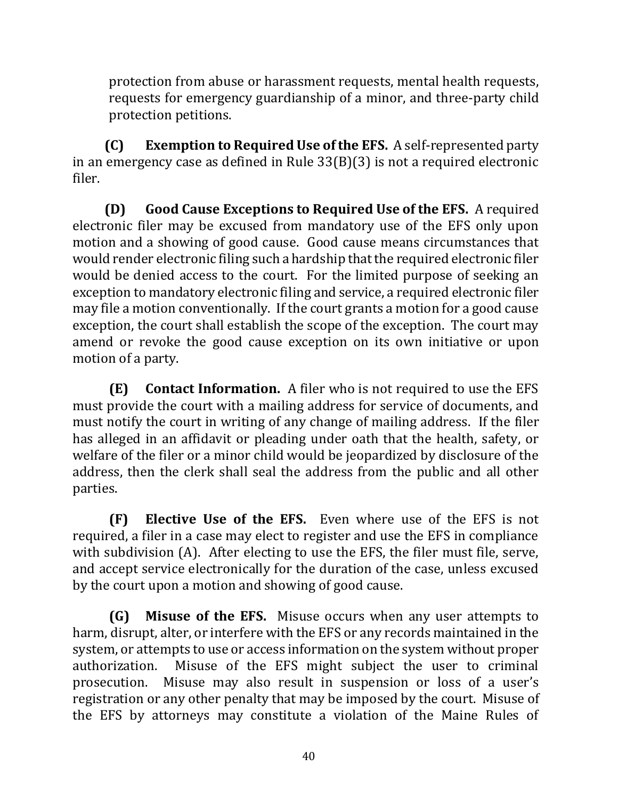protection from abuse or harassment requests, mental health requests, requests for emergency guardianship of a minor, and three-party child protection petitions.

**(C) Exemption to Required Use of the EFS.** A self-represented party in an emergency case as defined in Rule 33(B)(3) is not a required electronic filer.

**(D) Good Cause Exceptions to Required Use of the EFS.** A required electronic filer may be excused from mandatory use of the EFS only upon motion and a showing of good cause. Good cause means circumstances that would render electronic filing such a hardship that the required electronic filer would be denied access to the court. For the limited purpose of seeking an exception to mandatory electronic filing and service, a required electronic filer may file a motion conventionally. If the court grants a motion for a good cause exception, the court shall establish the scope of the exception. The court may amend or revoke the good cause exception on its own initiative or upon motion of a party.

**(E) Contact Information.** A filer who is not required to use the EFS must provide the court with a mailing address for service of documents, and must notify the court in writing of any change of mailing address. If the filer has alleged in an affidavit or pleading under oath that the health, safety, or welfare of the filer or a minor child would be jeopardized by disclosure of the address, then the clerk shall seal the address from the public and all other parties.

**(F) Elective Use of the EFS.** Even where use of the EFS is not required, a filer in a case may elect to register and use the EFS in compliance with subdivision (A). After electing to use the EFS, the filer must file, serve, and accept service electronically for the duration of the case, unless excused by the court upon a motion and showing of good cause.

**(G) Misuse of the EFS.** Misuse occurs when any user attempts to harm, disrupt, alter, or interfere with the EFS or any records maintained in the system, or attempts to use or access information on the system without proper authorization. Misuse of the EFS might subject the user to criminal prosecution. Misuse may also result in suspension or loss of a user's registration or any other penalty that may be imposed by the court. Misuse of the EFS by attorneys may constitute a violation of the Maine Rules of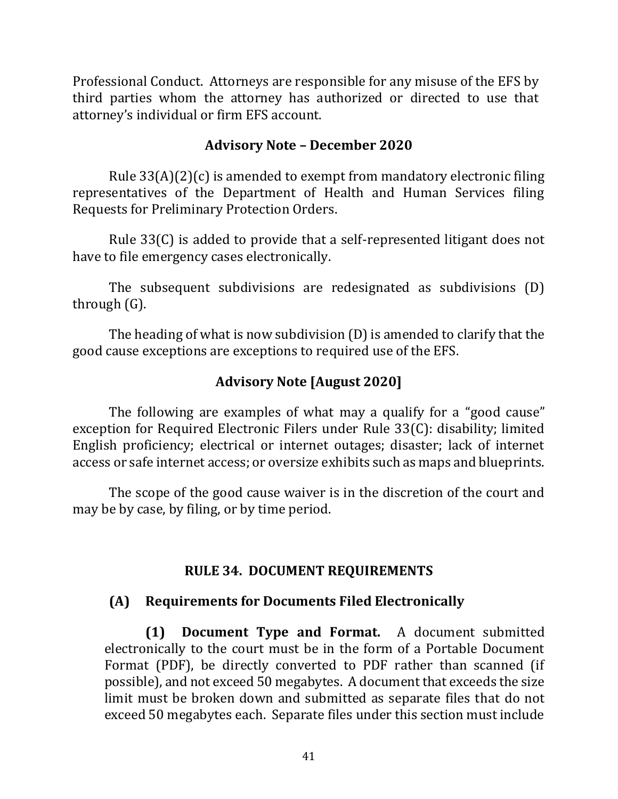Professional Conduct. Attorneys are responsible for any misuse of the EFS by third parties whom the attorney has authorized or directed to use that attorney's individual or firm EFS account.

#### **Advisory Note – December 2020**

Rule 33(A)(2)(c) is amended to exempt from mandatory electronic filing representatives of the Department of Health and Human Services filing Requests for Preliminary Protection Orders.

Rule 33(C) is added to provide that a self-represented litigant does not have to file emergency cases electronically.

The subsequent subdivisions are redesignated as subdivisions (D) through (G).

The heading of what is now subdivision (D) is amended to clarify that the good cause exceptions are exceptions to required use of the EFS.

#### **Advisory Note [August 2020]**

The following are examples of what may a qualify for a "good cause" exception for Required Electronic Filers under Rule 33(C): disability; limited English proficiency; electrical or internet outages; disaster; lack of internet access or safe internet access; or oversize exhibits such as maps and blueprints.

The scope of the good cause waiver is in the discretion of the court and may be by case, by filing, or by time period.

#### **RULE 34. DOCUMENT REQUIREMENTS**

#### **(A) Requirements for Documents Filed Electronically**

**(1) Document Type and Format.** A document submitted electronically to the court must be in the form of a Portable Document Format (PDF), be directly converted to PDF rather than scanned (if possible), and not exceed 50 megabytes. A document that exceeds the size limit must be broken down and submitted as separate files that do not exceed 50 megabytes each. Separate files under this section must include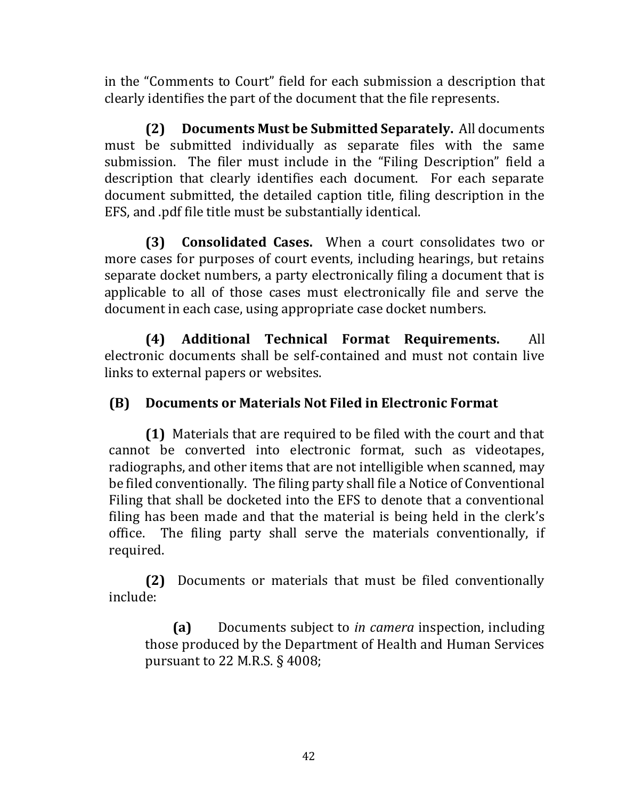in the "Comments to Court" field for each submission a description that clearly identifies the part of the document that the file represents.

**(2) Documents Must be Submitted Separately.** All documents must be submitted individually as separate files with the same submission. The filer must include in the "Filing Description" field a description that clearly identifies each document. For each separate document submitted, the detailed caption title, filing description in the EFS, and .pdf file title must be substantially identical.

**(3) Consolidated Cases.** When a court consolidates two or more cases for purposes of court events, including hearings, but retains separate docket numbers, a party electronically filing a document that is applicable to all of those cases must electronically file and serve the document in each case, using appropriate case docket numbers.

**(4) Additional Technical Format Requirements.** All electronic documents shall be self-contained and must not contain live links to external papers or websites.

# **(B) Documents or Materials Not Filed in Electronic Format**

**(1)** Materials that are required to be filed with the court and that cannot be converted into electronic format, such as videotapes, radiographs, and other items that are not intelligible when scanned, may be filed conventionally. The filing party shall file a Notice of Conventional Filing that shall be docketed into the EFS to denote that a conventional filing has been made and that the material is being held in the clerk's office. The filing party shall serve the materials conventionally, if required.

**(2)** Documents or materials that must be filed conventionally include:

**(a)** Documents subject to *in camera* inspection, including those produced by the Department of Health and Human Services pursuant to 22 M.R.S. § 4008;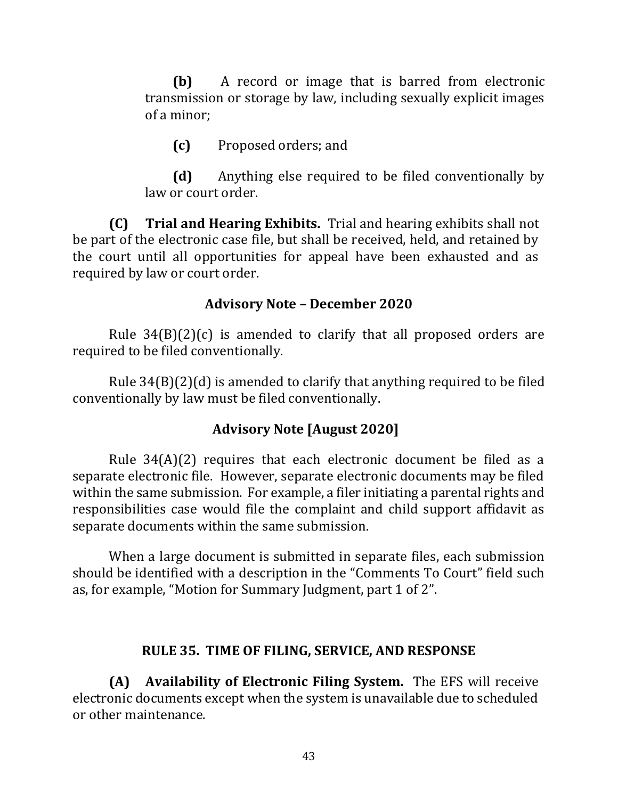**(b)** A record or image that is barred from electronic transmission or storage by law, including sexually explicit images of a minor;

**(c)** Proposed orders; and

**(d)** Anything else required to be filed conventionally by law or court order.

**(C) Trial and Hearing Exhibits.** Trial and hearing exhibits shall not be part of the electronic case file, but shall be received, held, and retained by the court until all opportunities for appeal have been exhausted and as required by law or court order.

### **Advisory Note – December 2020**

Rule  $34(B)(2)(c)$  is amended to clarify that all proposed orders are required to be filed conventionally.

Rule 34(B)(2)(d) is amended to clarify that anything required to be filed conventionally by law must be filed conventionally.

### **Advisory Note [August 2020]**

Rule 34(A)(2) requires that each electronic document be filed as a separate electronic file. However, separate electronic documents may be filed within the same submission. For example, a filer initiating a parental rights and responsibilities case would file the complaint and child support affidavit as separate documents within the same submission.

When a large document is submitted in separate files, each submission should be identified with a description in the "Comments To Court" field such as, for example, "Motion for Summary Judgment, part 1 of 2".

#### **RULE 35. TIME OF FILING, SERVICE, AND RESPONSE**

**(A) Availability of Electronic Filing System.** The EFS will receive electronic documents except when the system is unavailable due to scheduled or other maintenance.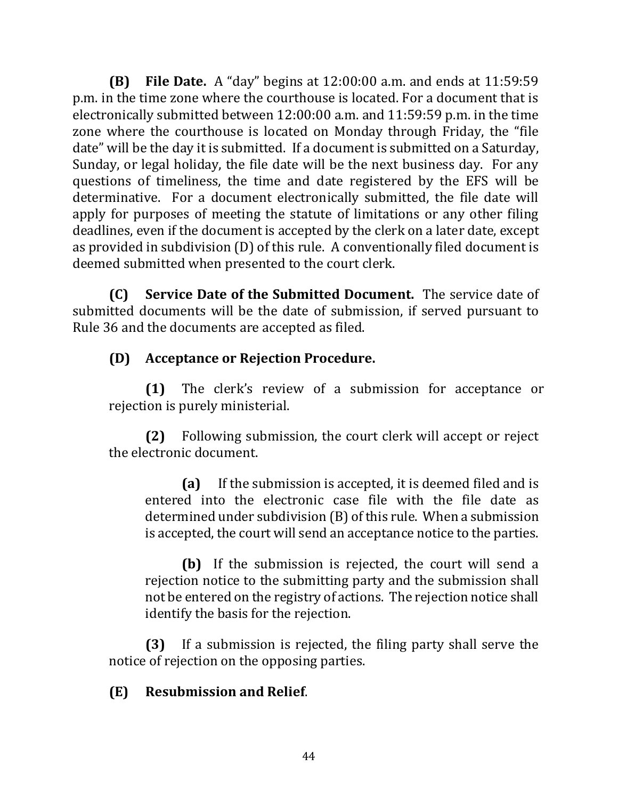**(B) File Date.** A "day" begins at 12:00:00 a.m. and ends at 11:59:59 p.m. in the time zone where the courthouse is located. For a document that is electronically submitted between 12:00:00 a.m. and 11:59:59 p.m. in the time zone where the courthouse is located on Monday through Friday, the "file date" will be the day it is submitted. If a document is submitted on a Saturday, Sunday, or legal holiday, the file date will be the next business day. For any questions of timeliness, the time and date registered by the EFS will be determinative. For a document electronically submitted, the file date will apply for purposes of meeting the statute of limitations or any other filing deadlines, even if the document is accepted by the clerk on a later date, except as provided in subdivision (D) of this rule. A conventionally filed document is deemed submitted when presented to the court clerk.

**(C) Service Date of the Submitted Document.** The service date of submitted documents will be the date of submission, if served pursuant to Rule 36 and the documents are accepted as filed.

# **(D) Acceptance or Rejection Procedure.**

**(1)** The clerk's review of a submission for acceptance or rejection is purely ministerial.

**(2)** Following submission, the court clerk will accept or reject the electronic document.

**(a)** If the submission is accepted, it is deemed filed and is entered into the electronic case file with the file date as determined under subdivision (B) of this rule. When a submission is accepted, the court will send an acceptance notice to the parties.

**(b)** If the submission is rejected, the court will send a rejection notice to the submitting party and the submission shall not be entered on the registry of actions. The rejection notice shall identify the basis for the rejection.

**(3)** If a submission is rejected, the filing party shall serve the notice of rejection on the opposing parties.

### **(E) Resubmission and Relief**.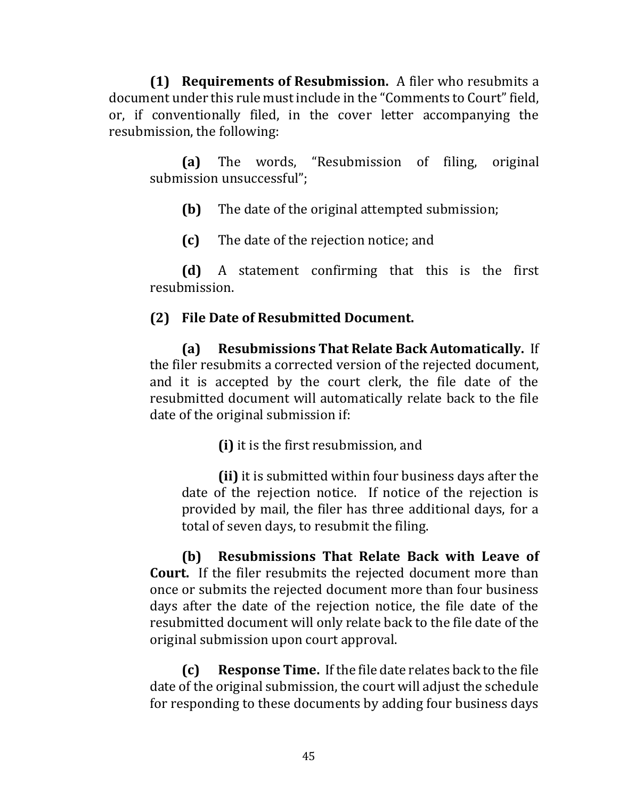**(1) Requirements of Resubmission.** A filer who resubmits a document under this rule must include in the "Comments to Court" field, or, if conventionally filed, in the cover letter accompanying the resubmission, the following:

**(a)** The words, "Resubmission of filing, original submission unsuccessful";

**(b)** The date of the original attempted submission;

**(c)** The date of the rejection notice; and

**(d)** A statement confirming that this is the first resubmission.

#### **(2) File Date of Resubmitted Document.**

**(a) Resubmissions That Relate Back Automatically.** If the filer resubmits a corrected version of the rejected document, and it is accepted by the court clerk, the file date of the resubmitted document will automatically relate back to the file date of the original submission if:

**(i)** it is the first resubmission, and

**(ii)** it is submitted within four business days after the date of the rejection notice. If notice of the rejection is provided by mail, the filer has three additional days, for a total of seven days, to resubmit the filing.

**(b) Resubmissions That Relate Back with Leave of Court.** If the filer resubmits the rejected document more than once or submits the rejected document more than four business days after the date of the rejection notice, the file date of the resubmitted document will only relate back to the file date of the original submission upon court approval.

**(c) Response Time.** If the file date relates back to the file date of the original submission, the court will adjust the schedule for responding to these documents by adding four business days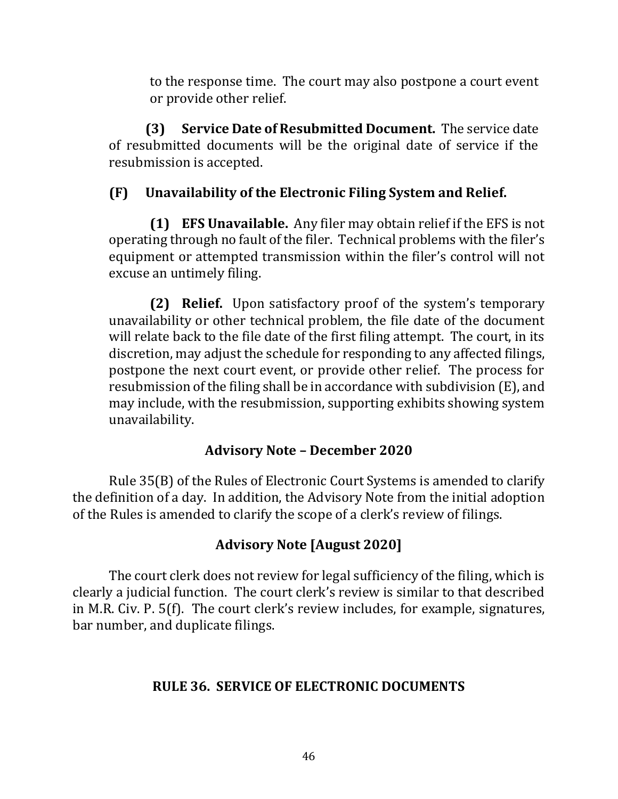to the response time. The court may also postpone a court event or provide other relief.

**(3) Service Date of Resubmitted Document.** The service date of resubmitted documents will be the original date of service if the resubmission is accepted.

# **(F) Unavailability of the Electronic Filing System and Relief.**

**(1) EFS Unavailable.** Any filer may obtain relief if the EFS is not operating through no fault of the filer. Technical problems with the filer's equipment or attempted transmission within the filer's control will not excuse an untimely filing.

**(2) Relief.** Upon satisfactory proof of the system's temporary unavailability or other technical problem, the file date of the document will relate back to the file date of the first filing attempt. The court, in its discretion, may adjust the schedule for responding to any affected filings, postpone the next court event, or provide other relief. The process for resubmission of the filing shall be in accordance with subdivision (E), and may include, with the resubmission, supporting exhibits showing system unavailability.

# **Advisory Note – December 2020**

Rule 35(B) of the Rules of Electronic Court Systems is amended to clarify the definition of a day. In addition, the Advisory Note from the initial adoption of the Rules is amended to clarify the scope of a clerk's review of filings.

# **Advisory Note [August 2020]**

The court clerk does not review for legal sufficiency of the filing, which is clearly a judicial function. The court clerk's review is similar to that described in M.R. Civ. P. 5(f). The court clerk's review includes, for example, signatures, bar number, and duplicate filings.

# **RULE 36. SERVICE OF ELECTRONIC DOCUMENTS**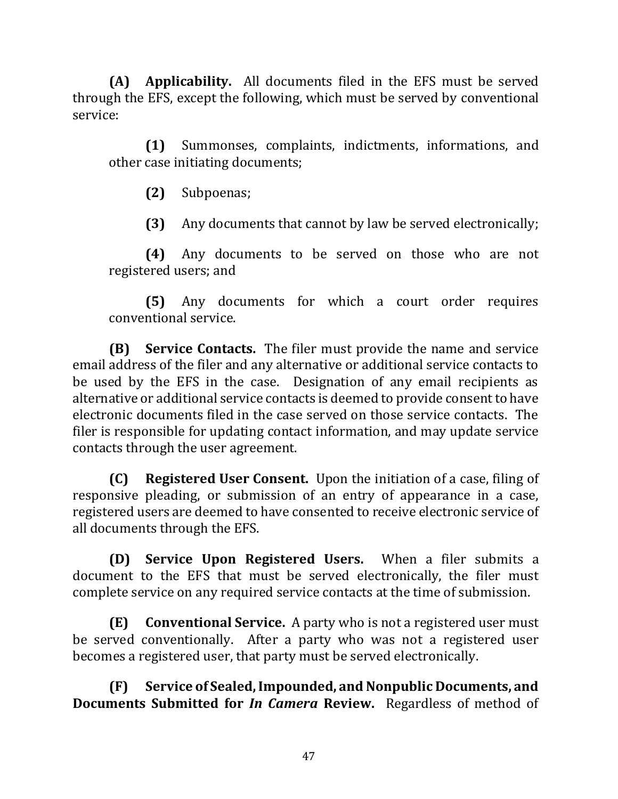**(A) Applicability.** All documents filed in the EFS must be served through the EFS, except the following, which must be served by conventional service:

**(1)** Summonses, complaints, indictments, informations, and other case initiating documents;

**(2)** Subpoenas;

**(3)** Any documents that cannot by law be served electronically;

**(4)** Any documents to be served on those who are not registered users; and

**(5)** Any documents for which a court order requires conventional service.

**(B) Service Contacts.** The filer must provide the name and service email address of the filer and any alternative or additional service contacts to be used by the EFS in the case. Designation of any email recipients as alternative or additional service contacts is deemed to provide consent to have electronic documents filed in the case served on those service contacts. The filer is responsible for updating contact information, and may update service contacts through the user agreement.

**(C) Registered User Consent.** Upon the initiation of a case, filing of responsive pleading, or submission of an entry of appearance in a case, registered users are deemed to have consented to receive electronic service of all documents through the EFS.

**(D) Service Upon Registered Users.** When a filer submits a document to the EFS that must be served electronically, the filer must complete service on any required service contacts at the time of submission.

**(E) Conventional Service.** A party who is not a registered user must be served conventionally. After a party who was not a registered user becomes a registered user, that party must be served electronically.

**(F) Service of Sealed, Impounded, and Nonpublic Documents, and Documents Submitted for** *In Camera* **Review.** Regardless of method of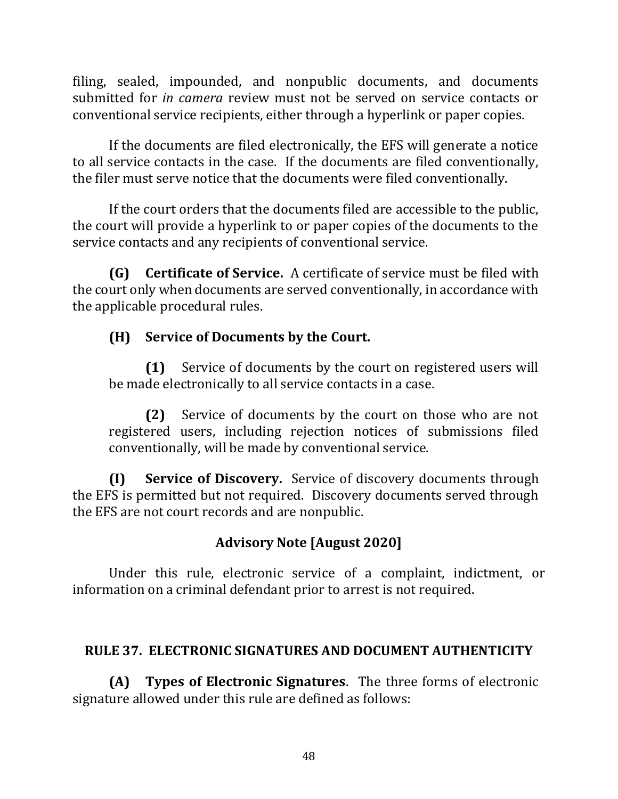filing, sealed, impounded, and nonpublic documents, and documents submitted for *in camera* review must not be served on service contacts or conventional service recipients, either through a hyperlink or paper copies.

If the documents are filed electronically, the EFS will generate a notice to all service contacts in the case. If the documents are filed conventionally, the filer must serve notice that the documents were filed conventionally.

If the court orders that the documents filed are accessible to the public, the court will provide a hyperlink to or paper copies of the documents to the service contacts and any recipients of conventional service.

**(G) Certificate of Service.** A certificate of service must be filed with the court only when documents are served conventionally, in accordance with the applicable procedural rules.

# **(H) Service of Documents by the Court.**

**(1)** Service of documents by the court on registered users will be made electronically to all service contacts in a case.

**(2)** Service of documents by the court on those who are not registered users, including rejection notices of submissions filed conventionally, will be made by conventional service.

**(I) Service of Discovery.** Service of discovery documents through the EFS is permitted but not required. Discovery documents served through the EFS are not court records and are nonpublic.

# **Advisory Note [August 2020]**

Under this rule, electronic service of a complaint, indictment, or information on a criminal defendant prior to arrest is not required.

# **RULE 37. ELECTRONIC SIGNATURES AND DOCUMENT AUTHENTICITY**

**(A) Types of Electronic Signatures**. The three forms of electronic signature allowed under this rule are defined as follows: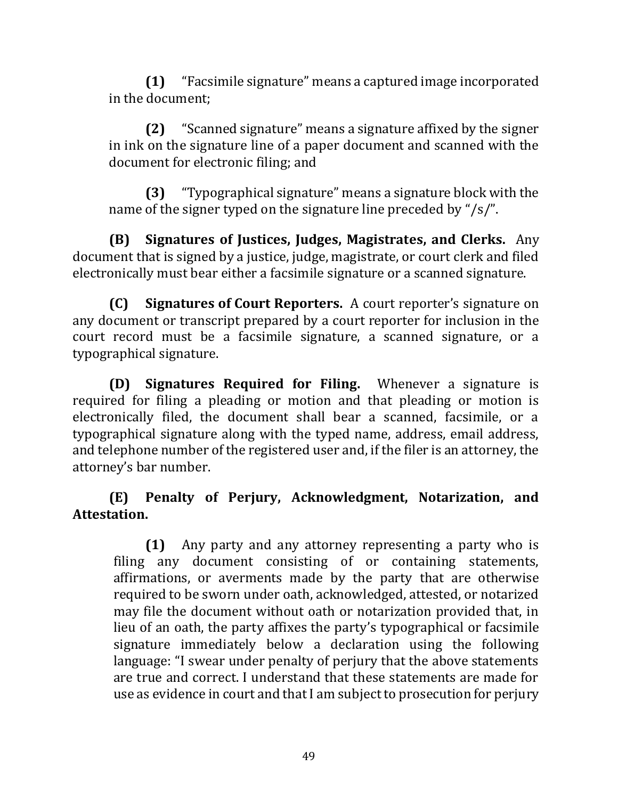**(1)** "Facsimile signature" means a captured image incorporated in the document;

**(2)** "Scanned signature" means a signature affixed by the signer in ink on the signature line of a paper document and scanned with the document for electronic filing; and

**(3)** "Typographical signature" means a signature block with the name of the signer typed on the signature line preceded by "/s/".

**(B) Signatures of Justices, Judges, Magistrates, and Clerks.** Any document that is signed by a justice, judge, magistrate, or court clerk and filed electronically must bear either a facsimile signature or a scanned signature.

**(C) Signatures of Court Reporters.** A court reporter's signature on any document or transcript prepared by a court reporter for inclusion in the court record must be a facsimile signature, a scanned signature, or a typographical signature.

**(D) Signatures Required for Filing.** Whenever a signature is required for filing a pleading or motion and that pleading or motion is electronically filed, the document shall bear a scanned, facsimile, or a typographical signature along with the typed name, address, email address, and telephone number of the registered user and, if the filer is an attorney, the attorney's bar number.

# **(E) Penalty of Perjury, Acknowledgment, Notarization, and Attestation.**

**(1)** Any party and any attorney representing a party who is filing any document consisting of or containing statements, affirmations, or averments made by the party that are otherwise required to be sworn under oath, acknowledged, attested, or notarized may file the document without oath or notarization provided that, in lieu of an oath, the party affixes the party's typographical or facsimile signature immediately below a declaration using the following language: "I swear under penalty of perjury that the above statements are true and correct. I understand that these statements are made for use as evidence in court and that I am subject to prosecution for perjury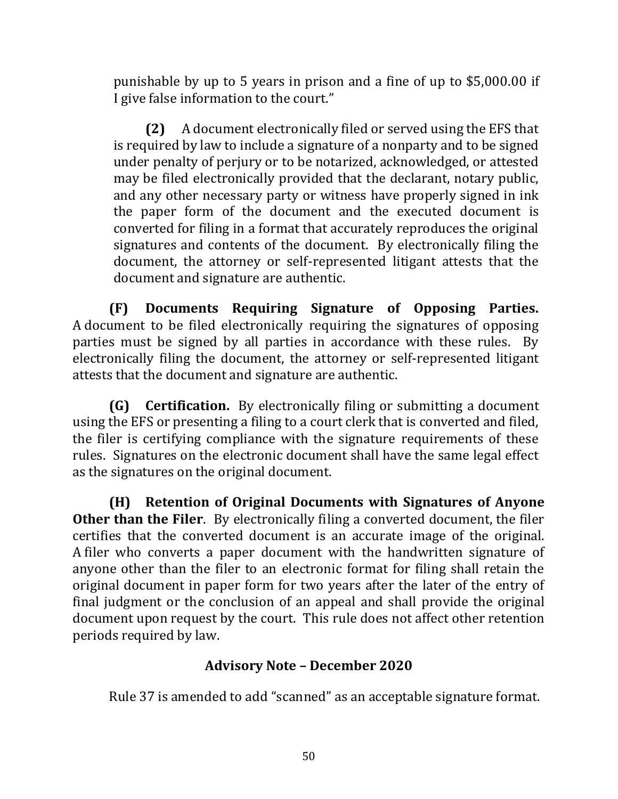punishable by up to 5 years in prison and a fine of up to \$5,000.00 if I give false information to the court."

**(2)** A document electronically filed or served using the EFS that is required by law to include a signature of a nonparty and to be signed under penalty of perjury or to be notarized, acknowledged, or attested may be filed electronically provided that the declarant, notary public, and any other necessary party or witness have properly signed in ink the paper form of the document and the executed document is converted for filing in a format that accurately reproduces the original signatures and contents of the document. By electronically filing the document, the attorney or self-represented litigant attests that the document and signature are authentic.

**(F) Documents Requiring Signature of Opposing Parties.** A document to be filed electronically requiring the signatures of opposing parties must be signed by all parties in accordance with these rules. By electronically filing the document, the attorney or self-represented litigant attests that the document and signature are authentic.

**(G) Certification.** By electronically filing or submitting a document using the EFS or presenting a filing to a court clerk that is converted and filed, the filer is certifying compliance with the signature requirements of these rules. Signatures on the electronic document shall have the same legal effect as the signatures on the original document.

**(H) Retention of Original Documents with Signatures of Anyone Other than the Filer**. By electronically filing a converted document, the filer certifies that the converted document is an accurate image of the original. A filer who converts a paper document with the handwritten signature of anyone other than the filer to an electronic format for filing shall retain the original document in paper form for two years after the later of the entry of final judgment or the conclusion of an appeal and shall provide the original document upon request by the court. This rule does not affect other retention periods required by law.

### **Advisory Note – December 2020**

Rule 37 is amended to add "scanned" as an acceptable signature format.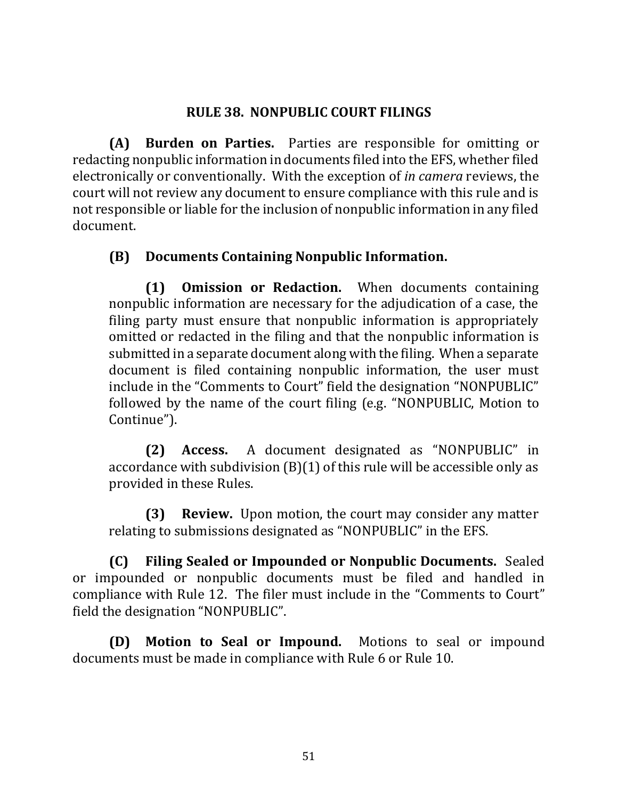#### **RULE 38. NONPUBLIC COURT FILINGS**

**(A) Burden on Parties.** Parties are responsible for omitting or redacting nonpublic information in documents filed into the EFS, whether filed electronically or conventionally. With the exception of *in camera* reviews, the court will not review any document to ensure compliance with this rule and is not responsible or liable for the inclusion of nonpublic information in any filed document.

### **(B) Documents Containing Nonpublic Information.**

**(1) Omission or Redaction.**When documents containing nonpublic information are necessary for the adjudication of a case, the filing party must ensure that nonpublic information is appropriately omitted or redacted in the filing and that the nonpublic information is submitted in a separate document along with the filing. When a separate document is filed containing nonpublic information, the user must include in the "Comments to Court" field the designation "NONPUBLIC" followed by the name of the court filing (e.g. "NONPUBLIC, Motion to Continue").

**(2) Access.** A document designated as "NONPUBLIC" in accordance with subdivision (B)(1) of this rule will be accessible only as provided in these Rules.

**(3) Review.** Upon motion, the court may consider any matter relating to submissions designated as "NONPUBLIC" in the EFS.

**(C) Filing Sealed or Impounded or Nonpublic Documents.** Sealed or impounded or nonpublic documents must be filed and handled in compliance with Rule 12. The filer must include in the "Comments to Court" field the designation "NONPUBLIC".

**(D) Motion to Seal or Impound.** Motions to seal or impound documents must be made in compliance with Rule 6 or Rule 10.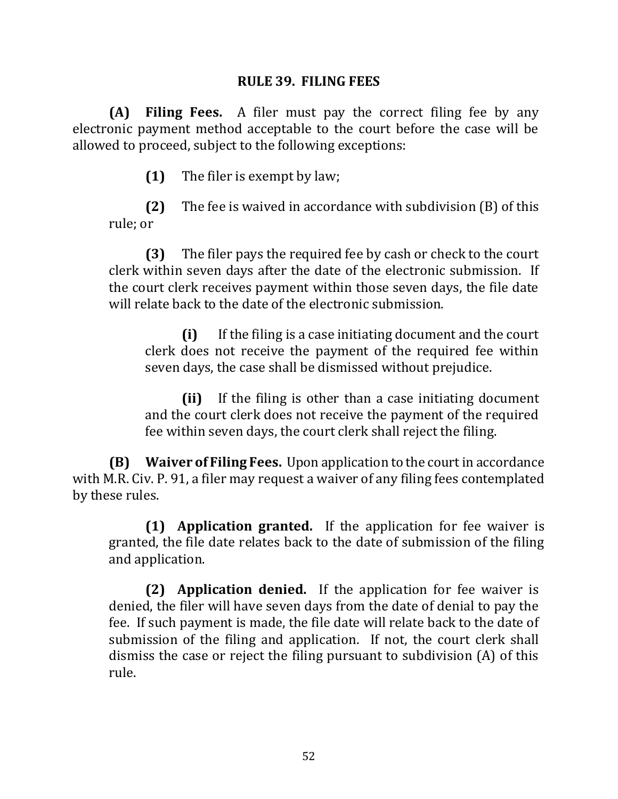#### **RULE 39. FILING FEES**

**(A) Filing Fees.** A filer must pay the correct filing fee by any electronic payment method acceptable to the court before the case will be allowed to proceed, subject to the following exceptions:

**(1)** The filer is exempt by law;

**(2)** The fee is waived in accordance with subdivision (B) of this rule; or

**(3)** The filer pays the required fee by cash or check to the court clerk within seven days after the date of the electronic submission. If the court clerk receives payment within those seven days, the file date will relate back to the date of the electronic submission.

**(i)** If the filing is a case initiating document and the court clerk does not receive the payment of the required fee within seven days, the case shall be dismissed without prejudice.

**(ii)** If the filing is other than a case initiating document and the court clerk does not receive the payment of the required fee within seven days, the court clerk shall reject the filing.

**(B) Waiver of Filing Fees.** Upon application to the court in accordance with M.R. Civ. P. 91, a filer may request a waiver of any filing fees contemplated by these rules.

**(1) Application granted.** If the application for fee waiver is granted, the file date relates back to the date of submission of the filing and application.

**(2) Application denied.** If the application for fee waiver is denied, the filer will have seven days from the date of denial to pay the fee. If such payment is made, the file date will relate back to the date of submission of the filing and application. If not, the court clerk shall dismiss the case or reject the filing pursuant to subdivision (A) of this rule.